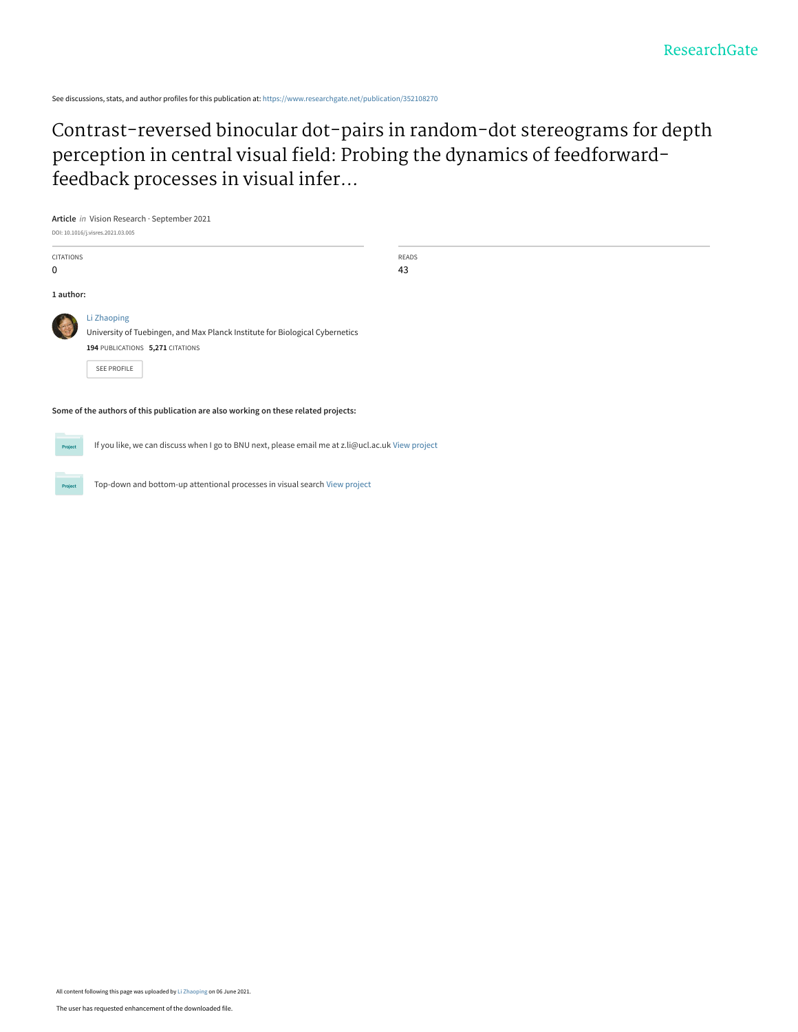See discussions, stats, and author profiles for this publication at: [https://www.researchgate.net/publication/352108270](https://www.researchgate.net/publication/352108270_Contrast-reversed_binocular_dot-pairs_in_random-dot_stereograms_for_depth_perception_in_central_visual_field_Probing_the_dynamics_of_feedforward-feedback_processes_in_visual_inference?enrichId=rgreq-cecdfa353436e1011ac85bb2be931a74-XXX&enrichSource=Y292ZXJQYWdlOzM1MjEwODI3MDtBUzoxMDMxNjkwMDk3MDA4NjQxQDE2MjI5ODU0OTU5MzY%3D&el=1_x_2&_esc=publicationCoverPdf)

[Contrast-reversed binocular dot-pairs in random-dot stereograms for depth](https://www.researchgate.net/publication/352108270_Contrast-reversed_binocular_dot-pairs_in_random-dot_stereograms_for_depth_perception_in_central_visual_field_Probing_the_dynamics_of_feedforward-feedback_processes_in_visual_inference?enrichId=rgreq-cecdfa353436e1011ac85bb2be931a74-XXX&enrichSource=Y292ZXJQYWdlOzM1MjEwODI3MDtBUzoxMDMxNjkwMDk3MDA4NjQxQDE2MjI5ODU0OTU5MzY%3D&el=1_x_3&_esc=publicationCoverPdf) perception in central visual field: Probing the dynamics of feedforwardfeedback processes in visual infer...

**Article** in Vision Research · September 2021 DOI: 10.1016/j.visres.2021.03.005

| <b>CITATIONS</b><br>$\mathbf 0$                                                     |                                                                                                                                                | READS<br>43 |  |  |  |
|-------------------------------------------------------------------------------------|------------------------------------------------------------------------------------------------------------------------------------------------|-------------|--|--|--|
| 1 author:                                                                           |                                                                                                                                                |             |  |  |  |
|                                                                                     | Li Zhaoping<br>University of Tuebingen, and Max Planck Institute for Biological Cybernetics<br>194 PUBLICATIONS 5,271 CITATIONS<br>SEE PROFILE |             |  |  |  |
| Some of the authors of this publication are also working on these related projects: |                                                                                                                                                |             |  |  |  |

Project

If you like, we can discuss when I go to BNU next, please email me at z.li@ucl.ac.uk [View project](https://www.researchgate.net/project/If-you-like-we-can-discuss-when-I-go-to-BNU-next-please-email-me-at-zliuclacuk?enrichId=rgreq-cecdfa353436e1011ac85bb2be931a74-XXX&enrichSource=Y292ZXJQYWdlOzM1MjEwODI3MDtBUzoxMDMxNjkwMDk3MDA4NjQxQDE2MjI5ODU0OTU5MzY%3D&el=1_x_9&_esc=publicationCoverPdf)

Top-down and bottom-up attentional processes in visual search [View project](https://www.researchgate.net/project/Top-down-and-bottom-up-attentional-processes-in-visual-search?enrichId=rgreq-cecdfa353436e1011ac85bb2be931a74-XXX&enrichSource=Y292ZXJQYWdlOzM1MjEwODI3MDtBUzoxMDMxNjkwMDk3MDA4NjQxQDE2MjI5ODU0OTU5MzY%3D&el=1_x_9&_esc=publicationCoverPdf)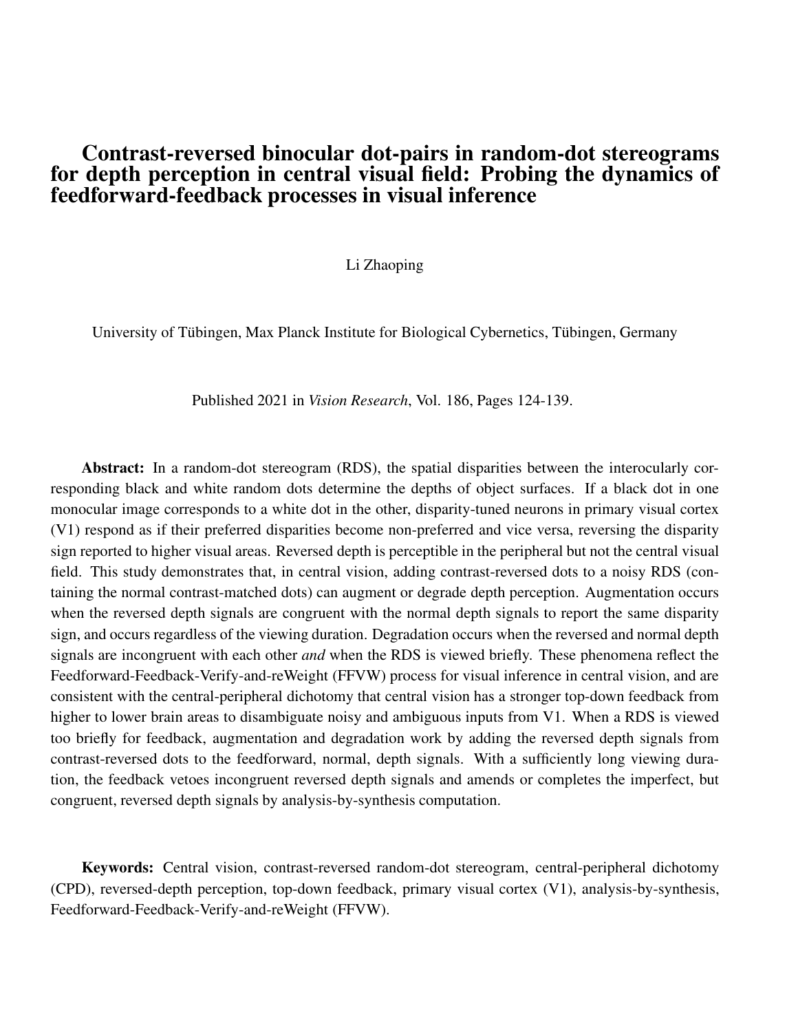## Contrast-reversed binocular dot-pairs in random-dot stereograms for depth perception in central visual field: Probing the dynamics of feedforward-feedback processes in visual inference

Li Zhaoping

University of Tübingen, Max Planck Institute for Biological Cybernetics, Tübingen, Germany

Published 2021 in *Vision Research*, Vol. 186, Pages 124-139.

Abstract: In a random-dot stereogram (RDS), the spatial disparities between the interocularly corresponding black and white random dots determine the depths of object surfaces. If a black dot in one monocular image corresponds to a white dot in the other, disparity-tuned neurons in primary visual cortex (V1) respond as if their preferred disparities become non-preferred and vice versa, reversing the disparity sign reported to higher visual areas. Reversed depth is perceptible in the peripheral but not the central visual field. This study demonstrates that, in central vision, adding contrast-reversed dots to a noisy RDS (containing the normal contrast-matched dots) can augment or degrade depth perception. Augmentation occurs when the reversed depth signals are congruent with the normal depth signals to report the same disparity sign, and occurs regardless of the viewing duration. Degradation occurs when the reversed and normal depth signals are incongruent with each other *and* when the RDS is viewed briefly. These phenomena reflect the Feedforward-Feedback-Verify-and-reWeight (FFVW) process for visual inference in central vision, and are consistent with the central-peripheral dichotomy that central vision has a stronger top-down feedback from higher to lower brain areas to disambiguate noisy and ambiguous inputs from V1. When a RDS is viewed too briefly for feedback, augmentation and degradation work by adding the reversed depth signals from contrast-reversed dots to the feedforward, normal, depth signals. With a sufficiently long viewing duration, the feedback vetoes incongruent reversed depth signals and amends or completes the imperfect, but congruent, reversed depth signals by analysis-by-synthesis computation.

Keywords: Central vision, contrast-reversed random-dot stereogram, central-peripheral dichotomy (CPD), reversed-depth perception, top-down feedback, primary visual cortex (V1), analysis-by-synthesis, Feedforward-Feedback-Verify-and-reWeight (FFVW).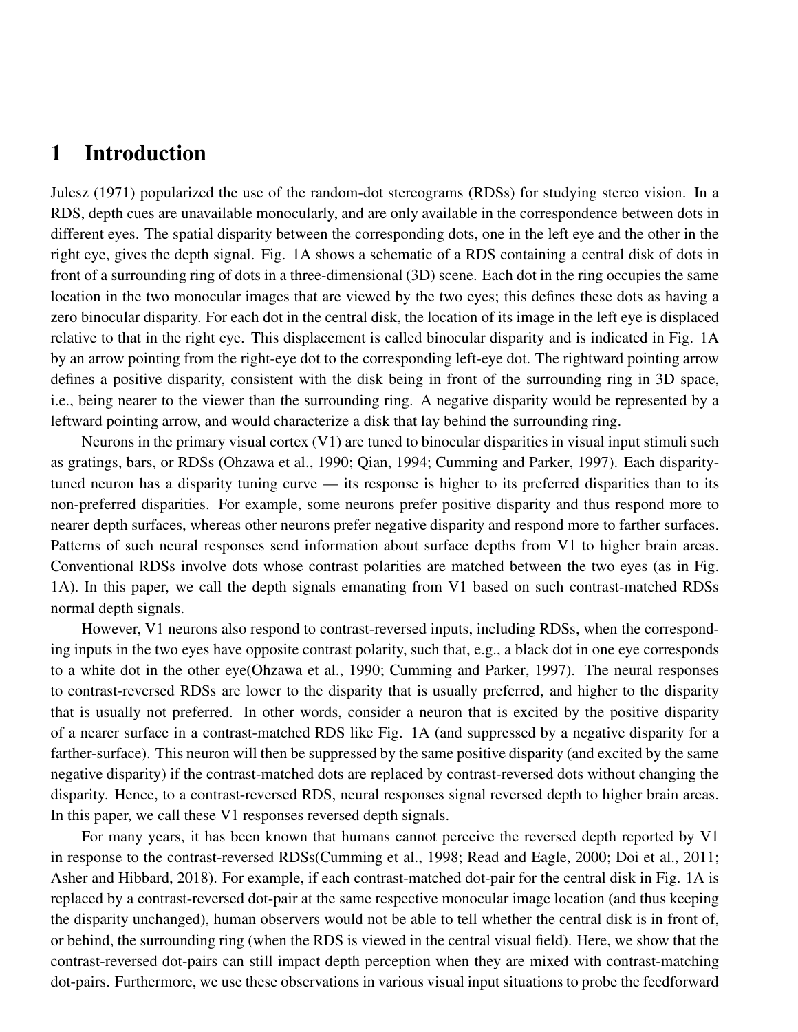# 1 Introduction

Julesz (1971) popularized the use of the random-dot stereograms (RDSs) for studying stereo vision. In a RDS, depth cues are unavailable monocularly, and are only available in the correspondence between dots in different eyes. The spatial disparity between the corresponding dots, one in the left eye and the other in the right eye, gives the depth signal. Fig. 1A shows a schematic of a RDS containing a central disk of dots in front of a surrounding ring of dots in a three-dimensional (3D) scene. Each dot in the ring occupies the same location in the two monocular images that are viewed by the two eyes; this defines these dots as having a zero binocular disparity. For each dot in the central disk, the location of its image in the left eye is displaced relative to that in the right eye. This displacement is called binocular disparity and is indicated in Fig. 1A by an arrow pointing from the right-eye dot to the corresponding left-eye dot. The rightward pointing arrow defines a positive disparity, consistent with the disk being in front of the surrounding ring in 3D space, i.e., being nearer to the viewer than the surrounding ring. A negative disparity would be represented by a leftward pointing arrow, and would characterize a disk that lay behind the surrounding ring.

Neurons in the primary visual cortex (V1) are tuned to binocular disparities in visual input stimuli such as gratings, bars, or RDSs (Ohzawa et al., 1990; Qian, 1994; Cumming and Parker, 1997). Each disparitytuned neuron has a disparity tuning curve — its response is higher to its preferred disparities than to its non-preferred disparities. For example, some neurons prefer positive disparity and thus respond more to nearer depth surfaces, whereas other neurons prefer negative disparity and respond more to farther surfaces. Patterns of such neural responses send information about surface depths from V1 to higher brain areas. Conventional RDSs involve dots whose contrast polarities are matched between the two eyes (as in Fig. 1A). In this paper, we call the depth signals emanating from V1 based on such contrast-matched RDSs normal depth signals.

However, V1 neurons also respond to contrast-reversed inputs, including RDSs, when the corresponding inputs in the two eyes have opposite contrast polarity, such that, e.g., a black dot in one eye corresponds to a white dot in the other eye(Ohzawa et al., 1990; Cumming and Parker, 1997). The neural responses to contrast-reversed RDSs are lower to the disparity that is usually preferred, and higher to the disparity that is usually not preferred. In other words, consider a neuron that is excited by the positive disparity of a nearer surface in a contrast-matched RDS like Fig. 1A (and suppressed by a negative disparity for a farther-surface). This neuron will then be suppressed by the same positive disparity (and excited by the same negative disparity) if the contrast-matched dots are replaced by contrast-reversed dots without changing the disparity. Hence, to a contrast-reversed RDS, neural responses signal reversed depth to higher brain areas. In this paper, we call these V1 responses reversed depth signals.

For many years, it has been known that humans cannot perceive the reversed depth reported by V1 in response to the contrast-reversed RDSs(Cumming et al., 1998; Read and Eagle, 2000; Doi et al., 2011; Asher and Hibbard, 2018). For example, if each contrast-matched dot-pair for the central disk in Fig. 1A is replaced by a contrast-reversed dot-pair at the same respective monocular image location (and thus keeping the disparity unchanged), human observers would not be able to tell whether the central disk is in front of, or behind, the surrounding ring (when the RDS is viewed in the central visual field). Here, we show that the contrast-reversed dot-pairs can still impact depth perception when they are mixed with contrast-matching dot-pairs. Furthermore, we use these observations in various visual input situations to probe the feedforward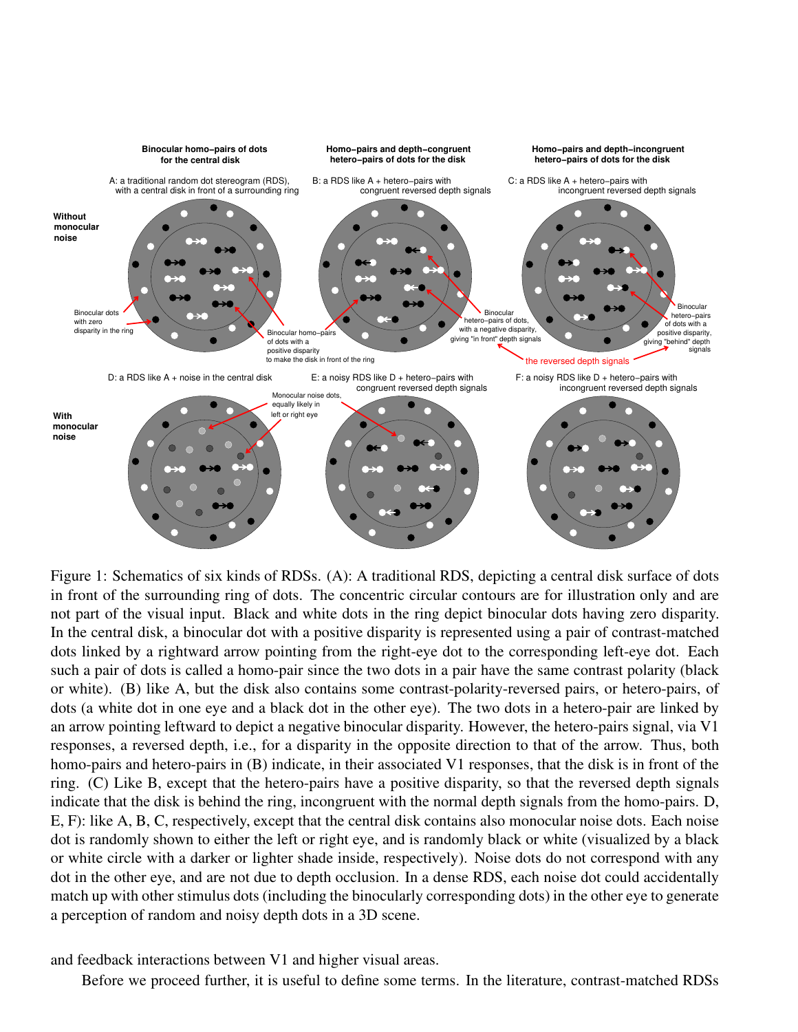

Figure 1: Schematics of six kinds of RDSs. (A): A traditional RDS, depicting a central disk surface of dots in front of the surrounding ring of dots. The concentric circular contours are for illustration only and are not part of the visual input. Black and white dots in the ring depict binocular dots having zero disparity. In the central disk, a binocular dot with a positive disparity is represented using a pair of contrast-matched dots linked by a rightward arrow pointing from the right-eye dot to the corresponding left-eye dot. Each such a pair of dots is called a homo-pair since the two dots in a pair have the same contrast polarity (black or white). (B) like A, but the disk also contains some contrast-polarity-reversed pairs, or hetero-pairs, of dots (a white dot in one eye and a black dot in the other eye). The two dots in a hetero-pair are linked by an arrow pointing leftward to depict a negative binocular disparity. However, the hetero-pairs signal, via V1 responses, a reversed depth, i.e., for a disparity in the opposite direction to that of the arrow. Thus, both homo-pairs and hetero-pairs in (B) indicate, in their associated V1 responses, that the disk is in front of the ring. (C) Like B, except that the hetero-pairs have a positive disparity, so that the reversed depth signals indicate that the disk is behind the ring, incongruent with the normal depth signals from the homo-pairs. D, E, F): like A, B, C, respectively, except that the central disk contains also monocular noise dots. Each noise dot is randomly shown to either the left or right eye, and is randomly black or white (visualized by a black or white circle with a darker or lighter shade inside, respectively). Noise dots do not correspond with any dot in the other eye, and are not due to depth occlusion. In a dense RDS, each noise dot could accidentally match up with other stimulus dots (including the binocularly corresponding dots) in the other eye to generate a perception of random and noisy depth dots in a 3D scene.

and feedback interactions between V1 and higher visual areas.

Before we proceed further, it is useful to define some terms. In the literature, contrast-matched RDSs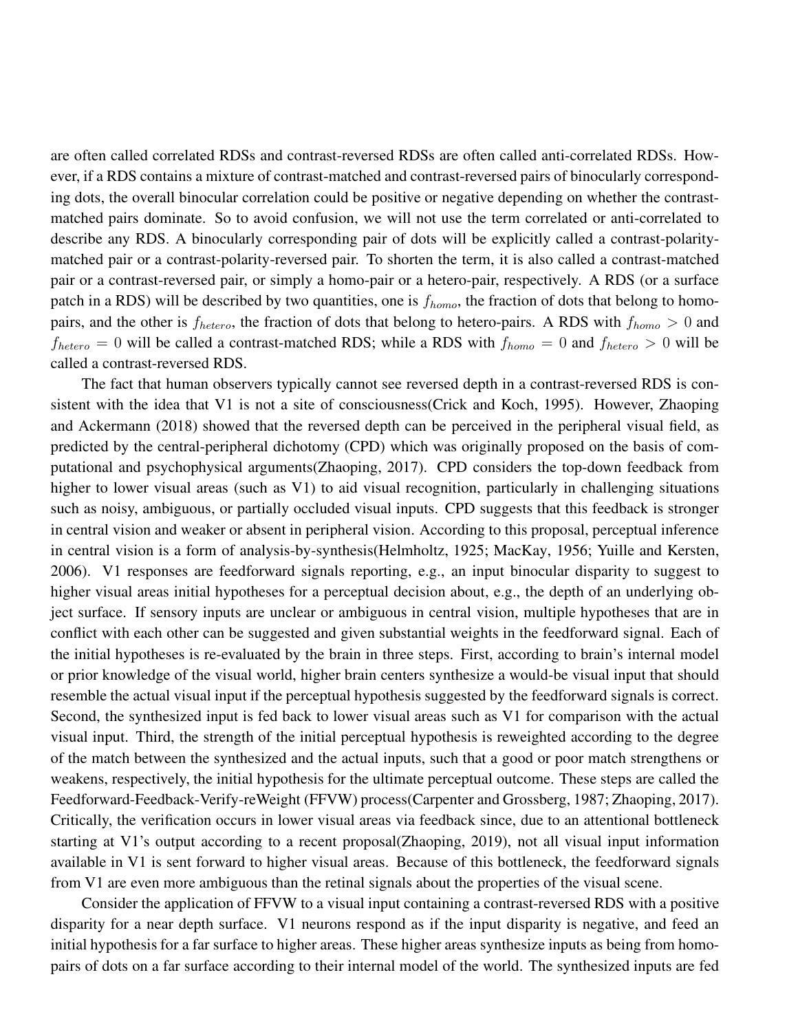are often called correlated RDSs and contrast-reversed RDSs are often called anti-correlated RDSs. However, if a RDS contains a mixture of contrast-matched and contrast-reversed pairs of binocularly corresponding dots, the overall binocular correlation could be positive or negative depending on whether the contrastmatched pairs dominate. So to avoid confusion, we will not use the term correlated or anti-correlated to describe any RDS. A binocularly corresponding pair of dots will be explicitly called a contrast-polaritymatched pair or a contrast-polarity-reversed pair. To shorten the term, it is also called a contrast-matched pair or a contrast-reversed pair, or simply a homo-pair or a hetero-pair, respectively. A RDS (or a surface patch in a RDS) will be described by two quantities, one is  $f_{homo}$ , the fraction of dots that belong to homopairs, and the other is  $f_{hetero}$ , the fraction of dots that belong to hetero-pairs. A RDS with  $f_{homo} > 0$  and  $f_{hetero} = 0$  will be called a contrast-matched RDS; while a RDS with  $f_{homo} = 0$  and  $f_{hetero} > 0$  will be called a contrast-reversed RDS.

The fact that human observers typically cannot see reversed depth in a contrast-reversed RDS is consistent with the idea that V1 is not a site of consciousness(Crick and Koch, 1995). However, Zhaoping and Ackermann (2018) showed that the reversed depth can be perceived in the peripheral visual field, as predicted by the central-peripheral dichotomy (CPD) which was originally proposed on the basis of computational and psychophysical arguments(Zhaoping, 2017). CPD considers the top-down feedback from higher to lower visual areas (such as V1) to aid visual recognition, particularly in challenging situations such as noisy, ambiguous, or partially occluded visual inputs. CPD suggests that this feedback is stronger in central vision and weaker or absent in peripheral vision. According to this proposal, perceptual inference in central vision is a form of analysis-by-synthesis(Helmholtz, 1925; MacKay, 1956; Yuille and Kersten, 2006). V1 responses are feedforward signals reporting, e.g., an input binocular disparity to suggest to higher visual areas initial hypotheses for a perceptual decision about, e.g., the depth of an underlying object surface. If sensory inputs are unclear or ambiguous in central vision, multiple hypotheses that are in conflict with each other can be suggested and given substantial weights in the feedforward signal. Each of the initial hypotheses is re-evaluated by the brain in three steps. First, according to brain's internal model or prior knowledge of the visual world, higher brain centers synthesize a would-be visual input that should resemble the actual visual input if the perceptual hypothesis suggested by the feedforward signals is correct. Second, the synthesized input is fed back to lower visual areas such as V1 for comparison with the actual visual input. Third, the strength of the initial perceptual hypothesis is reweighted according to the degree of the match between the synthesized and the actual inputs, such that a good or poor match strengthens or weakens, respectively, the initial hypothesis for the ultimate perceptual outcome. These steps are called the Feedforward-Feedback-Verify-reWeight (FFVW) process(Carpenter and Grossberg, 1987; Zhaoping, 2017). Critically, the verification occurs in lower visual areas via feedback since, due to an attentional bottleneck starting at V1's output according to a recent proposal(Zhaoping, 2019), not all visual input information available in V1 is sent forward to higher visual areas. Because of this bottleneck, the feedforward signals from V1 are even more ambiguous than the retinal signals about the properties of the visual scene.

Consider the application of FFVW to a visual input containing a contrast-reversed RDS with a positive disparity for a near depth surface. V1 neurons respond as if the input disparity is negative, and feed an initial hypothesis for a far surface to higher areas. These higher areas synthesize inputs as being from homopairs of dots on a far surface according to their internal model of the world. The synthesized inputs are fed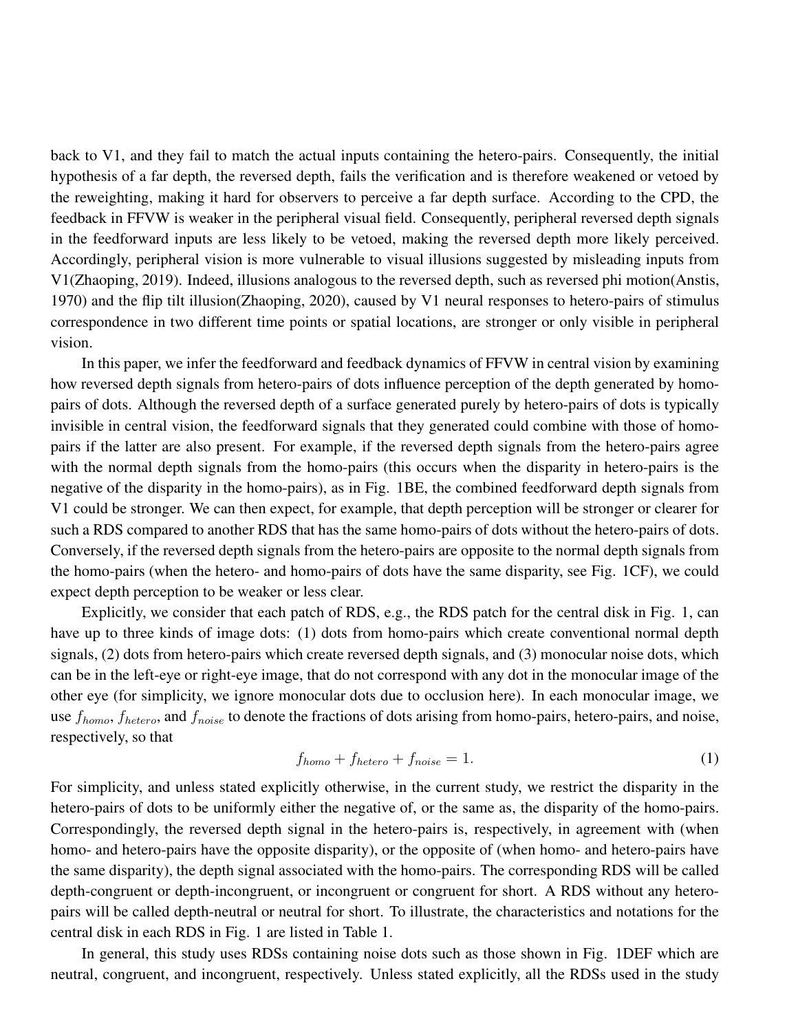back to V1, and they fail to match the actual inputs containing the hetero-pairs. Consequently, the initial hypothesis of a far depth, the reversed depth, fails the verification and is therefore weakened or vetoed by the reweighting, making it hard for observers to perceive a far depth surface. According to the CPD, the feedback in FFVW is weaker in the peripheral visual field. Consequently, peripheral reversed depth signals in the feedforward inputs are less likely to be vetoed, making the reversed depth more likely perceived. Accordingly, peripheral vision is more vulnerable to visual illusions suggested by misleading inputs from V1(Zhaoping, 2019). Indeed, illusions analogous to the reversed depth, such as reversed phi motion(Anstis, 1970) and the flip tilt illusion(Zhaoping, 2020), caused by V1 neural responses to hetero-pairs of stimulus correspondence in two different time points or spatial locations, are stronger or only visible in peripheral vision.

In this paper, we infer the feedforward and feedback dynamics of FFVW in central vision by examining how reversed depth signals from hetero-pairs of dots influence perception of the depth generated by homopairs of dots. Although the reversed depth of a surface generated purely by hetero-pairs of dots is typically invisible in central vision, the feedforward signals that they generated could combine with those of homopairs if the latter are also present. For example, if the reversed depth signals from the hetero-pairs agree with the normal depth signals from the homo-pairs (this occurs when the disparity in hetero-pairs is the negative of the disparity in the homo-pairs), as in Fig. 1BE, the combined feedforward depth signals from V1 could be stronger. We can then expect, for example, that depth perception will be stronger or clearer for such a RDS compared to another RDS that has the same homo-pairs of dots without the hetero-pairs of dots. Conversely, if the reversed depth signals from the hetero-pairs are opposite to the normal depth signals from the homo-pairs (when the hetero- and homo-pairs of dots have the same disparity, see Fig. 1CF), we could expect depth perception to be weaker or less clear.

Explicitly, we consider that each patch of RDS, e.g., the RDS patch for the central disk in Fig. 1, can have up to three kinds of image dots: (1) dots from homo-pairs which create conventional normal depth signals, (2) dots from hetero-pairs which create reversed depth signals, and (3) monocular noise dots, which can be in the left-eye or right-eye image, that do not correspond with any dot in the monocular image of the other eye (for simplicity, we ignore monocular dots due to occlusion here). In each monocular image, we use  $f_{homo}$ ,  $f_{hetero}$ , and  $f_{noise}$  to denote the fractions of dots arising from homo-pairs, hetero-pairs, and noise, respectively, so that

$$
f_{homo} + f_{hetero} + f_{noise} = 1.
$$
\n<sup>(1)</sup>

For simplicity, and unless stated explicitly otherwise, in the current study, we restrict the disparity in the hetero-pairs of dots to be uniformly either the negative of, or the same as, the disparity of the homo-pairs. Correspondingly, the reversed depth signal in the hetero-pairs is, respectively, in agreement with (when homo- and hetero-pairs have the opposite disparity), or the opposite of (when homo- and hetero-pairs have the same disparity), the depth signal associated with the homo-pairs. The corresponding RDS will be called depth-congruent or depth-incongruent, or incongruent or congruent for short. A RDS without any heteropairs will be called depth-neutral or neutral for short. To illustrate, the characteristics and notations for the central disk in each RDS in Fig. 1 are listed in Table 1.

In general, this study uses RDSs containing noise dots such as those shown in Fig. 1DEF which are neutral, congruent, and incongruent, respectively. Unless stated explicitly, all the RDSs used in the study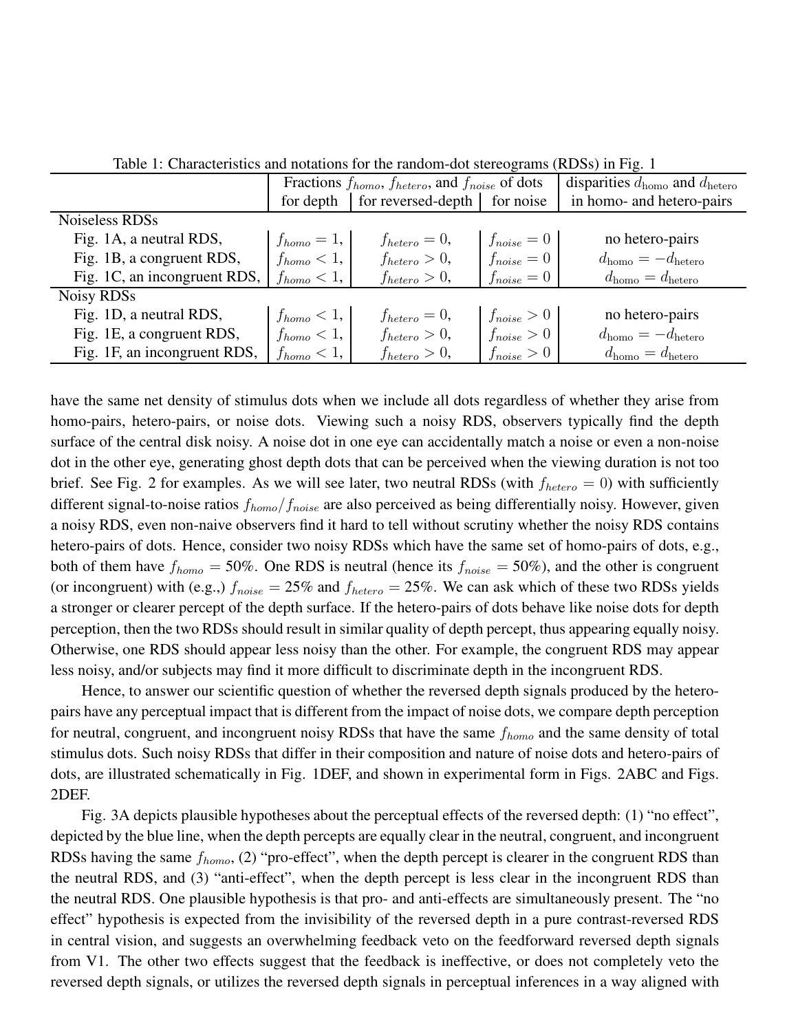|                              | Fractions $f_{homo}$ , $f_{hetero}$ , and $f_{noise}$ of dots |                    |                 | disparities $d_{\text{homo}}$ and $d_{\text{hetero}}$ |
|------------------------------|---------------------------------------------------------------|--------------------|-----------------|-------------------------------------------------------|
|                              | for depth                                                     | for reversed-depth | for noise       | in homo- and hetero-pairs                             |
| Noiseless RDSs               |                                                               |                    |                 |                                                       |
| Fig. 1A, a neutral RDS,      | $f_{homo}=1,$                                                 | $f_{hetero} = 0,$  | $f_{noise} = 0$ | no hetero-pairs                                       |
| Fig. 1B, a congruent RDS,    | $f_{homo} < 1$ ,                                              | $f_{hetero} > 0$ , | $f_{noise} = 0$ | $d_{\text{homo}} = -d_{\text{hetero}}$                |
| Fig. 1C, an incongruent RDS, | $f_{homo} < 1$ ,                                              | $f_{hetero} > 0$ , | $f_{noise} = 0$ | $d_{\text{homo}} = d_{\text{hetero}}$                 |
| Noisy RDSs                   |                                                               |                    |                 |                                                       |
| Fig. 1D, a neutral RDS,      | $f_{homo} < 1$ ,                                              | $f_{hetero} = 0,$  | $f_{noise} > 0$ | no hetero-pairs                                       |
| Fig. 1E, a congruent RDS,    | $f_{homo} < 1$ ,                                              | $f_{hetero} > 0$ , | $f_{noise} > 0$ | $d_{\text{homo}} = -d_{\text{hetero}}$                |
| Fig. 1F, an incongruent RDS, | $f_{homo} < 1$ ,                                              | $f_{hetero} > 0$ , | $f_{noise} > 0$ | $d_{\text{homo}} = d_{\text{hetero}}$                 |

Table 1: Characteristics and notations for the random-dot stereograms (RDSs) in Fig. 1

have the same net density of stimulus dots when we include all dots regardless of whether they arise from homo-pairs, hetero-pairs, or noise dots. Viewing such a noisy RDS, observers typically find the depth surface of the central disk noisy. A noise dot in one eye can accidentally match a noise or even a non-noise dot in the other eye, generating ghost depth dots that can be perceived when the viewing duration is not too brief. See Fig. 2 for examples. As we will see later, two neutral RDSs (with  $f_{hetero} = 0$ ) with sufficiently different signal-to-noise ratios  $f_{homo}/f_{noise}$  are also perceived as being differentially noisy. However, given a noisy RDS, even non-naive observers find it hard to tell without scrutiny whether the noisy RDS contains hetero-pairs of dots. Hence, consider two noisy RDSs which have the same set of homo-pairs of dots, e.g., both of them have  $f_{homo} = 50\%$ . One RDS is neutral (hence its  $f_{noise} = 50\%$ ), and the other is congruent (or incongruent) with (e.g.,)  $f_{noise} = 25\%$  and  $f_{hetero} = 25\%$ . We can ask which of these two RDSs yields a stronger or clearer percept of the depth surface. If the hetero-pairs of dots behave like noise dots for depth perception, then the two RDSs should result in similar quality of depth percept, thus appearing equally noisy. Otherwise, one RDS should appear less noisy than the other. For example, the congruent RDS may appear less noisy, and/or subjects may find it more difficult to discriminate depth in the incongruent RDS.

Hence, to answer our scientific question of whether the reversed depth signals produced by the heteropairs have any perceptual impact that is different from the impact of noise dots, we compare depth perception for neutral, congruent, and incongruent noisy RDSs that have the same  $f_{homo}$  and the same density of total stimulus dots. Such noisy RDSs that differ in their composition and nature of noise dots and hetero-pairs of dots, are illustrated schematically in Fig. 1DEF, and shown in experimental form in Figs. 2ABC and Figs. 2DEF.

Fig. 3A depicts plausible hypotheses about the perceptual effects of the reversed depth: (1) "no effect", depicted by the blue line, when the depth percepts are equally clear in the neutral, congruent, and incongruent RDSs having the same  $f_{homo}$ , (2) "pro-effect", when the depth percept is clearer in the congruent RDS than the neutral RDS, and (3) "anti-effect", when the depth percept is less clear in the incongruent RDS than the neutral RDS. One plausible hypothesis is that pro- and anti-effects are simultaneously present. The "no effect" hypothesis is expected from the invisibility of the reversed depth in a pure contrast-reversed RDS in central vision, and suggests an overwhelming feedback veto on the feedforward reversed depth signals from V1. The other two effects suggest that the feedback is ineffective, or does not completely veto the reversed depth signals, or utilizes the reversed depth signals in perceptual inferences in a way aligned with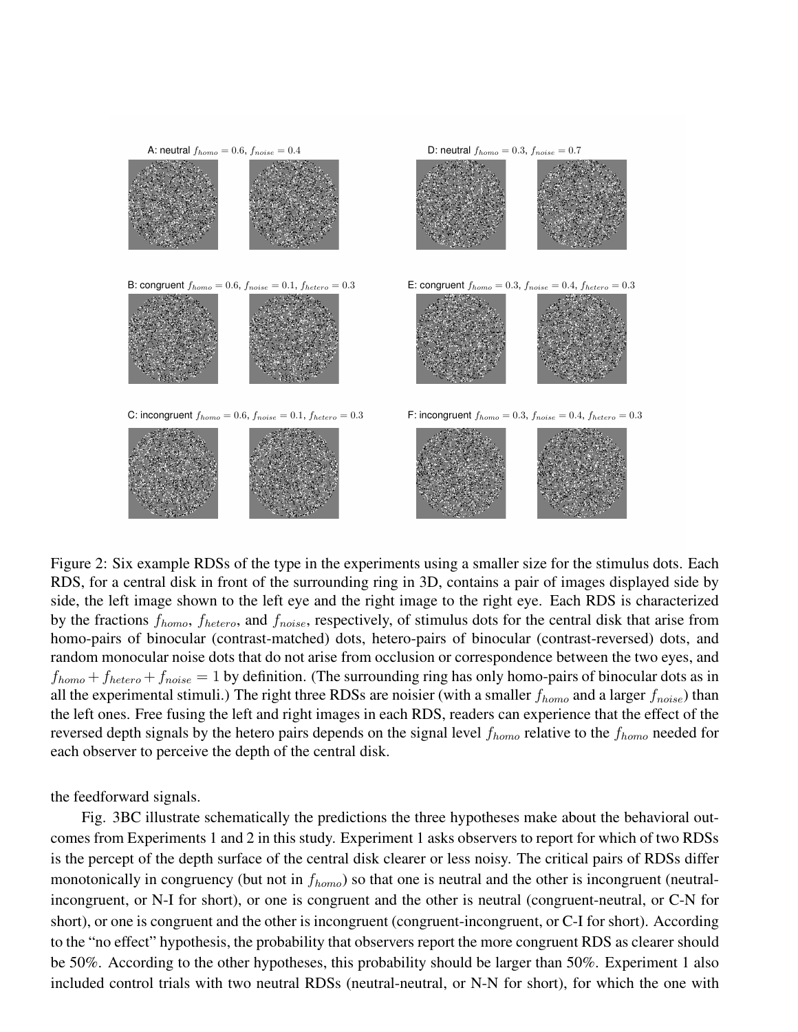

Figure 2: Six example RDSs of the type in the experiments using a smaller size for the stimulus dots. Each RDS, for a central disk in front of the surrounding ring in 3D, contains a pair of images displayed side by side, the left image shown to the left eye and the right image to the right eye. Each RDS is characterized by the fractions  $f_{homo}$ ,  $f_{hetero}$ , and  $f_{noise}$ , respectively, of stimulus dots for the central disk that arise from homo-pairs of binocular (contrast-matched) dots, hetero-pairs of binocular (contrast-reversed) dots, and random monocular noise dots that do not arise from occlusion or correspondence between the two eyes, and  $f_{homo} + f_{hetero} + f_{noise} = 1$  by definition. (The surrounding ring has only homo-pairs of binocular dots as in all the experimental stimuli.) The right three RDSs are noisier (with a smaller  $f_{homo}$  and a larger  $f_{noise}$ ) than the left ones. Free fusing the left and right images in each RDS, readers can experience that the effect of the reversed depth signals by the hetero pairs depends on the signal level  $f_{homo}$  relative to the  $f_{homo}$  needed for each observer to perceive the depth of the central disk.

the feedforward signals.

Fig. 3BC illustrate schematically the predictions the three hypotheses make about the behavioral outcomes from Experiments 1 and 2 in this study. Experiment 1 asks observers to report for which of two RDSs is the percept of the depth surface of the central disk clearer or less noisy. The critical pairs of RDSs differ monotonically in congruency (but not in  $f_{homo}$ ) so that one is neutral and the other is incongruent (neutralincongruent, or N-I for short), or one is congruent and the other is neutral (congruent-neutral, or C-N for short), or one is congruent and the other is incongruent (congruent-incongruent, or C-I for short). According to the "no effect" hypothesis, the probability that observers report the more congruent RDS as clearer should be 50%. According to the other hypotheses, this probability should be larger than 50%. Experiment 1 also included control trials with two neutral RDSs (neutral-neutral, or N-N for short), for which the one with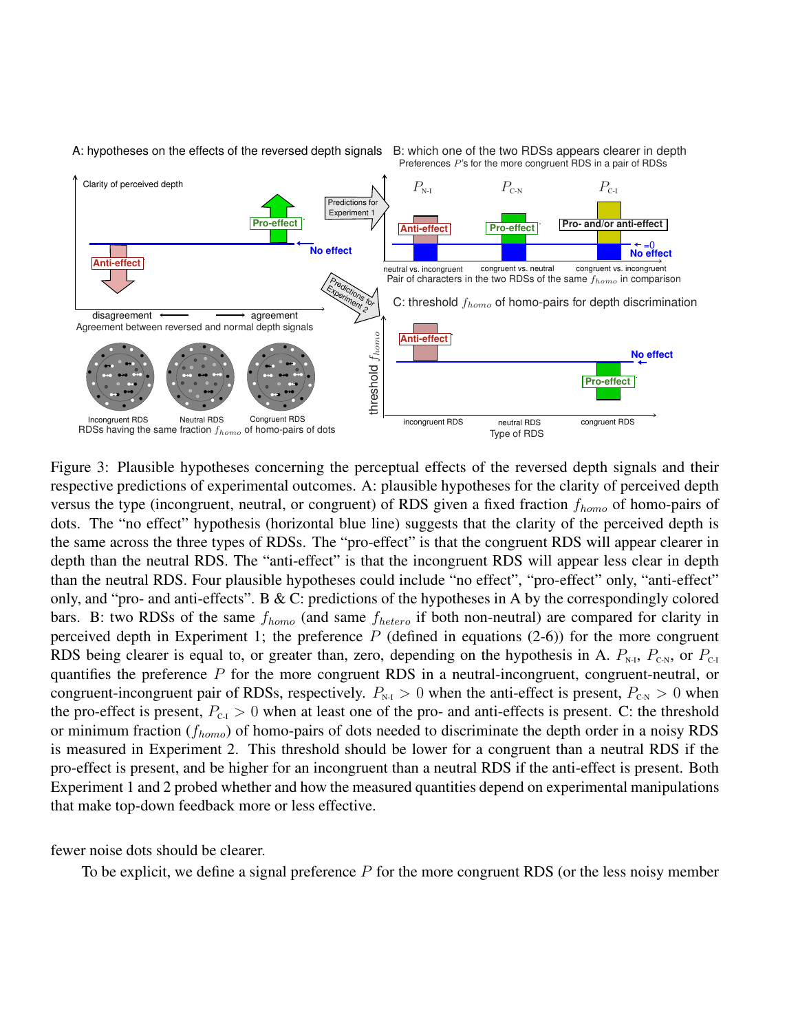

Figure 3: Plausible hypotheses concerning the perceptual effects of the reversed depth signals and their respective predictions of experimental outcomes. A: plausible hypotheses for the clarity of perceived depth versus the type (incongruent, neutral, or congruent) of RDS given a fixed fraction  $f_{homo}$  of homo-pairs of dots. The "no effect" hypothesis (horizontal blue line) suggests that the clarity of the perceived depth is the same across the three types of RDSs. The "pro-effect" is that the congruent RDS will appear clearer in depth than the neutral RDS. The "anti-effect" is that the incongruent RDS will appear less clear in depth than the neutral RDS. Four plausible hypotheses could include "no effect", "pro-effect" only, "anti-effect" only, and "pro- and anti-effects". B & C: predictions of the hypotheses in A by the correspondingly colored bars. B: two RDSs of the same  $f_{homo}$  (and same  $f_{hetero}$  if both non-neutral) are compared for clarity in perceived depth in Experiment 1; the preference  $P$  (defined in equations (2-6)) for the more congruent RDS being clearer is equal to, or greater than, zero, depending on the hypothesis in A.  $P_{\text{N-I}}$ ,  $P_{\text{CN}}$ , or  $P_{\text{C-I}}$ quantifies the preference  $P$  for the more congruent RDS in a neutral-incongruent, congruent-neutral, or congruent-incongruent pair of RDSs, respectively.  $P_{N-1} > 0$  when the anti-effect is present,  $P_{N-1} > 0$  when the pro-effect is present,  $P_{C_1} > 0$  when at least one of the pro- and anti-effects is present. C: the threshold or minimum fraction ( $f_{homo}$ ) of homo-pairs of dots needed to discriminate the depth order in a noisy RDS is measured in Experiment 2. This threshold should be lower for a congruent than a neutral RDS if the pro-effect is present, and be higher for an incongruent than a neutral RDS if the anti-effect is present. Both Experiment 1 and 2 probed whether and how the measured quantities depend on experimental manipulations that make top-down feedback more or less effective.

fewer noise dots should be clearer.

To be explicit, we define a signal preference  $P$  for the more congruent RDS (or the less noisy member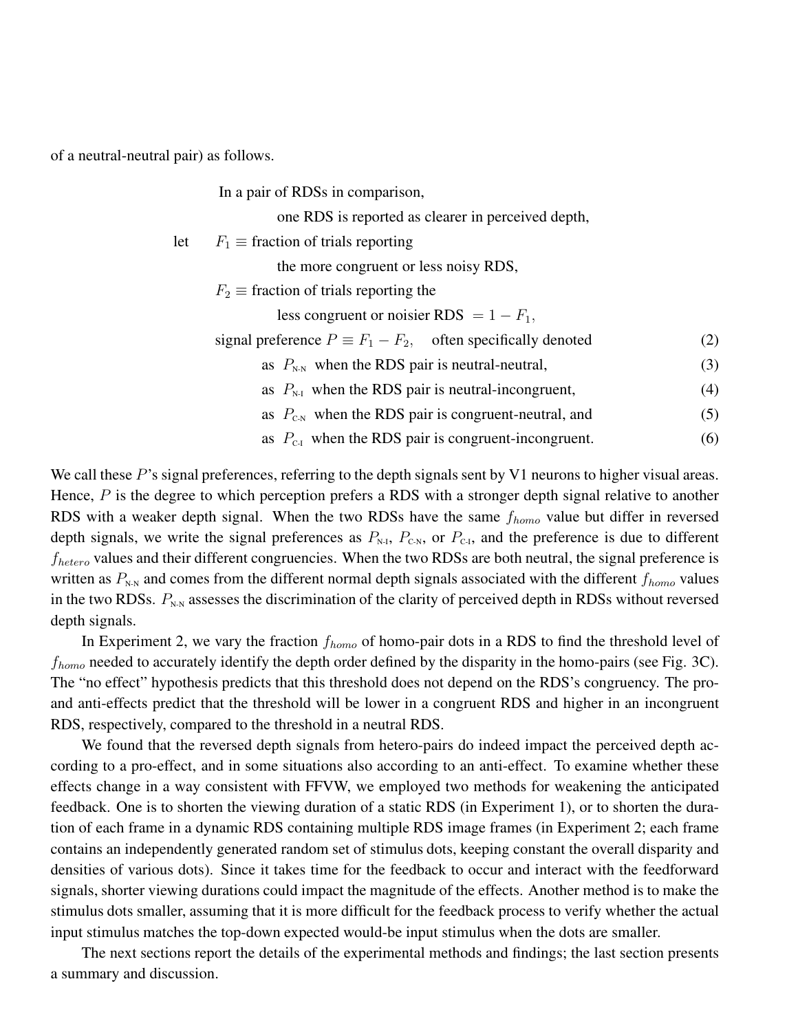of a neutral-neutral pair) as follows.

In a pair of RDSs in comparison,

one RDS is reported as clearer in perceived depth,

let  $F_1 \equiv$  fraction of trials reporting

the more congruent or less noisy RDS,

 $F_2 \equiv$  fraction of trials reporting the

less congruent or noisier RDS =  $1 - F_1$ ,

- signal preference  $P \equiv F_1 F_2$ , often specifically denoted (2)
	- as  $P_{N-N}$  when the RDS pair is neutral-neutral, (3)
	- as  $P_{N-1}$  when the RDS pair is neutral-incongruent, (4)
	- as  $P_{\text{c,N}}$  when the RDS pair is congruent-neutral, and (5)
	- as  $P_{\text{c-1}}$  when the RDS pair is congruent-incongruent. (6)

We call these  $P$ 's signal preferences, referring to the depth signals sent by V1 neurons to higher visual areas. Hence,  $P$  is the degree to which perception prefers a RDS with a stronger depth signal relative to another RDS with a weaker depth signal. When the two RDSs have the same  $f_{homo}$  value but differ in reversed depth signals, we write the signal preferences as  $P_{N-1}$ ,  $P_{C-N}$ , or  $P_{C-1}$ , and the preference is due to different  $f_{hetero}$  values and their different congruencies. When the two RDSs are both neutral, the signal preference is written as  $P_{N-N}$  and comes from the different normal depth signals associated with the different  $f_{homo}$  values in the two RDSs.  $P_{N-N}$  assesses the discrimination of the clarity of perceived depth in RDSs without reversed depth signals.

In Experiment 2, we vary the fraction  $f_{homo}$  of homo-pair dots in a RDS to find the threshold level of  $f_{homo}$  needed to accurately identify the depth order defined by the disparity in the homo-pairs (see Fig. 3C). The "no effect" hypothesis predicts that this threshold does not depend on the RDS's congruency. The proand anti-effects predict that the threshold will be lower in a congruent RDS and higher in an incongruent RDS, respectively, compared to the threshold in a neutral RDS.

We found that the reversed depth signals from hetero-pairs do indeed impact the perceived depth according to a pro-effect, and in some situations also according to an anti-effect. To examine whether these effects change in a way consistent with FFVW, we employed two methods for weakening the anticipated feedback. One is to shorten the viewing duration of a static RDS (in Experiment 1), or to shorten the duration of each frame in a dynamic RDS containing multiple RDS image frames (in Experiment 2; each frame contains an independently generated random set of stimulus dots, keeping constant the overall disparity and densities of various dots). Since it takes time for the feedback to occur and interact with the feedforward signals, shorter viewing durations could impact the magnitude of the effects. Another method is to make the stimulus dots smaller, assuming that it is more difficult for the feedback process to verify whether the actual input stimulus matches the top-down expected would-be input stimulus when the dots are smaller.

The next sections report the details of the experimental methods and findings; the last section presents a summary and discussion.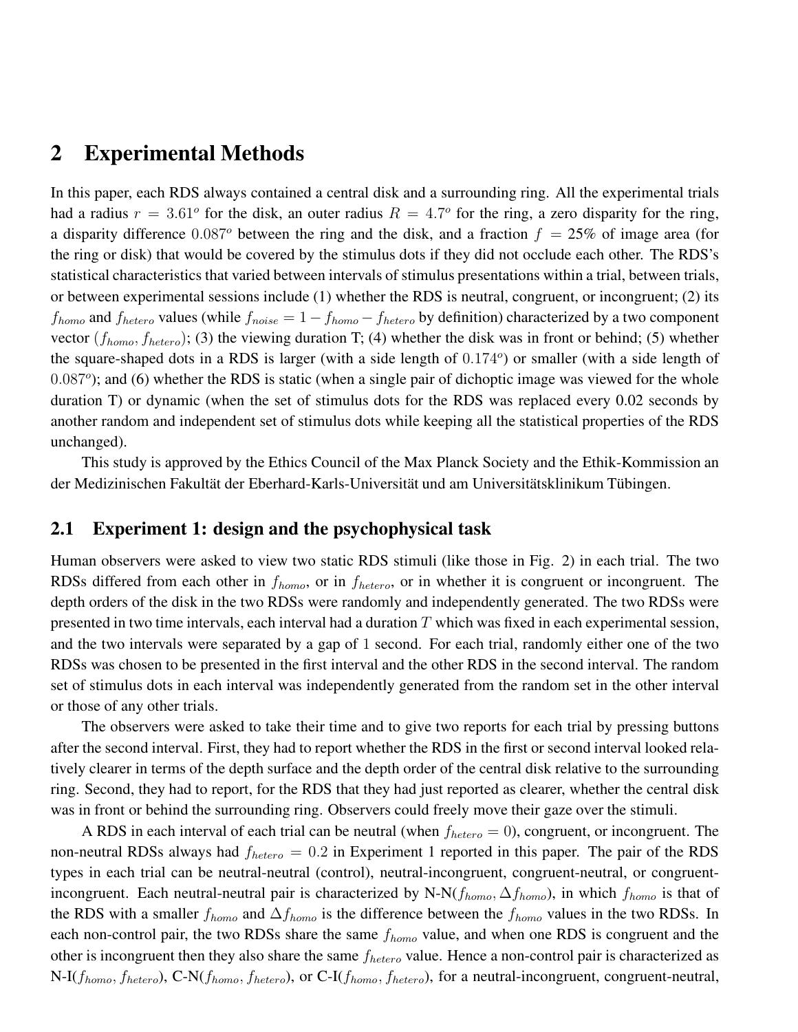## 2 Experimental Methods

In this paper, each RDS always contained a central disk and a surrounding ring. All the experimental trials had a radius  $r = 3.61^{\circ}$  for the disk, an outer radius  $R = 4.7^{\circ}$  for the ring, a zero disparity for the ring, a disparity difference  $0.087^\circ$  between the ring and the disk, and a fraction  $f = 25\%$  of image area (for the ring or disk) that would be covered by the stimulus dots if they did not occlude each other. The RDS's statistical characteristics that varied between intervals of stimulus presentations within a trial, between trials, or between experimental sessions include (1) whether the RDS is neutral, congruent, or incongruent; (2) its  $f_{homo}$  and  $f_{hetero}$  values (while  $f_{noise} = 1 - f_{homo} - f_{hetero}$  by definition) characterized by a two component vector  $(f_{homo}, f_{hetero})$ ; (3) the viewing duration T; (4) whether the disk was in front or behind; (5) whether the square-shaped dots in a RDS is larger (with a side length of  $0.174^{\circ}$ ) or smaller (with a side length of 0.087°); and (6) whether the RDS is static (when a single pair of dichoptic image was viewed for the whole duration T) or dynamic (when the set of stimulus dots for the RDS was replaced every 0.02 seconds by another random and independent set of stimulus dots while keeping all the statistical properties of the RDS unchanged).

This study is approved by the Ethics Council of the Max Planck Society and the Ethik-Kommission an der Medizinischen Fakultät der Eberhard-Karls-Universität und am Universitätsklinikum Tübingen.

### 2.1 Experiment 1: design and the psychophysical task

Human observers were asked to view two static RDS stimuli (like those in Fig. 2) in each trial. The two RDSs differed from each other in  $f_{homo}$ , or in  $f_{hetero}$ , or in whether it is congruent or incongruent. The depth orders of the disk in the two RDSs were randomly and independently generated. The two RDSs were presented in two time intervals, each interval had a duration  $T$  which was fixed in each experimental session, and the two intervals were separated by a gap of 1 second. For each trial, randomly either one of the two RDSs was chosen to be presented in the first interval and the other RDS in the second interval. The random set of stimulus dots in each interval was independently generated from the random set in the other interval or those of any other trials.

The observers were asked to take their time and to give two reports for each trial by pressing buttons after the second interval. First, they had to report whether the RDS in the first or second interval looked relatively clearer in terms of the depth surface and the depth order of the central disk relative to the surrounding ring. Second, they had to report, for the RDS that they had just reported as clearer, whether the central disk was in front or behind the surrounding ring. Observers could freely move their gaze over the stimuli.

A RDS in each interval of each trial can be neutral (when  $f_{hetero} = 0$ ), congruent, or incongruent. The non-neutral RDSs always had  $f_{hetero} = 0.2$  in Experiment 1 reported in this paper. The pair of the RDS types in each trial can be neutral-neutral (control), neutral-incongruent, congruent-neutral, or congruentincongruent. Each neutral-neutral pair is characterized by N-N( $f_{homo}$ ,  $\Delta f_{homo}$ ), in which  $f_{homo}$  is that of the RDS with a smaller  $f_{homo}$  and  $\Delta f_{homo}$  is the difference between the  $f_{homo}$  values in the two RDSs. In each non-control pair, the two RDSs share the same  $f_{homo}$  value, and when one RDS is congruent and the other is incongruent then they also share the same  $f_{hetero}$  value. Hence a non-control pair is characterized as  $N-I(f_{homo}, f_{hetero})$ , C-N( $f_{homo}, f_{hetero}$ ), or C-I( $f_{homo}, f_{hetero}$ ), for a neutral-incongruent, congruent-neutral,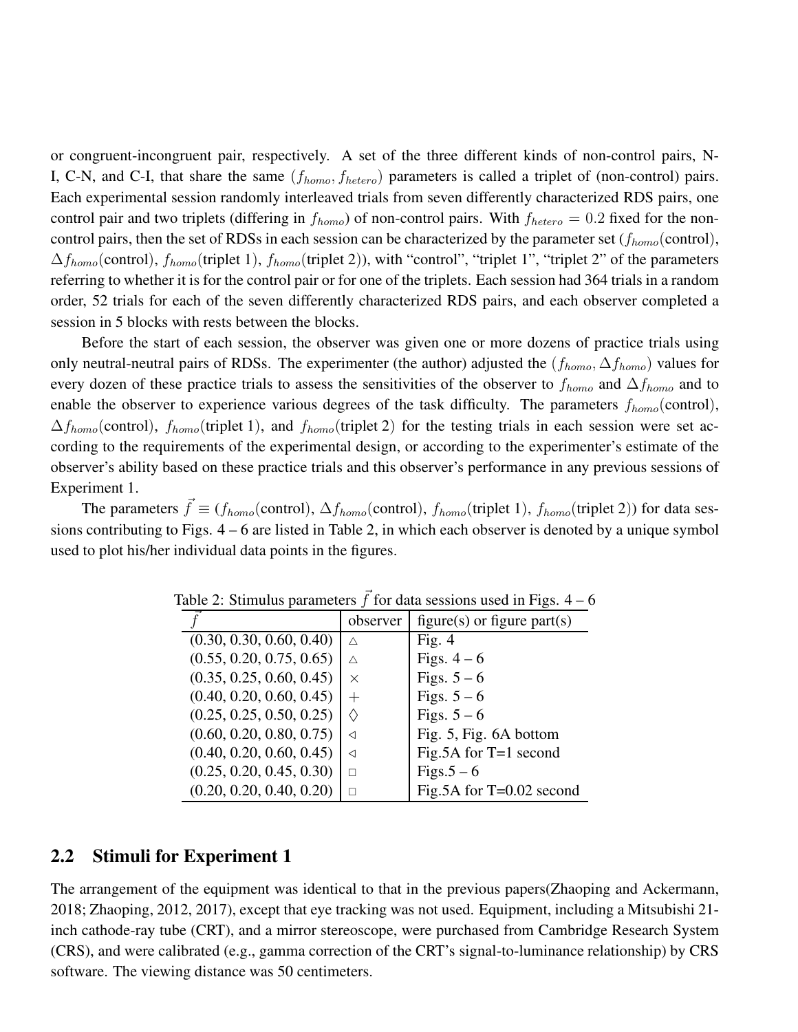or congruent-incongruent pair, respectively. A set of the three different kinds of non-control pairs, N-I, C-N, and C-I, that share the same  $(f_{homo}, f_{hetero})$  parameters is called a triplet of (non-control) pairs. Each experimental session randomly interleaved trials from seven differently characterized RDS pairs, one control pair and two triplets (differing in  $f_{homo}$ ) of non-control pairs. With  $f_{hetero} = 0.2$  fixed for the noncontrol pairs, then the set of RDSs in each session can be characterized by the parameter set  $(f_{homo}(\text{control}),$  $\Delta f_{homo}$ (control),  $f_{homo}$ (triplet 1),  $f_{homo}$ (triplet 2)), with "control", "triplet 1", "triplet 2" of the parameters referring to whether it is for the control pair or for one of the triplets. Each session had 364 trials in a random order, 52 trials for each of the seven differently characterized RDS pairs, and each observer completed a session in 5 blocks with rests between the blocks.

Before the start of each session, the observer was given one or more dozens of practice trials using only neutral-neutral pairs of RDSs. The experimenter (the author) adjusted the  $(f_{homo}, \Delta f_{homo})$  values for every dozen of these practice trials to assess the sensitivities of the observer to  $f_{homo}$  and  $\Delta f_{homo}$  and to enable the observer to experience various degrees of the task difficulty. The parameters  $f_{homo}$ (control),  $\Delta f_{homo}$ (control),  $f_{homo}$ (triplet 1), and  $f_{homo}$ (triplet 2) for the testing trials in each session were set according to the requirements of the experimental design, or according to the experimenter's estimate of the observer's ability based on these practice trials and this observer's performance in any previous sessions of Experiment 1.

The parameters  $\vec{f} \equiv (f_{homo}(\text{control}), \Delta f_{homo}(\text{control}), f_{homo}(\text{triplet 1}), f_{homo}(\text{triplet 2}))$  for data sessions contributing to Figs. 4 – 6 are listed in Table 2, in which each observer is denoted by a unique symbol used to plot his/her individual data points in the figures.

|                          | observer          | figure(s) or figure part(s) |
|--------------------------|-------------------|-----------------------------|
| (0.30, 0.30, 0.60, 0.40) | Λ                 | Fig. $4$                    |
| (0.55, 0.20, 0.75, 0.65) | Λ                 | Figs. $4-6$                 |
| (0.35, 0.25, 0.60, 0.45) | X                 | Figs. $5-6$                 |
| (0.40, 0.20, 0.60, 0.45) | $^{+}$            | Figs. $5-6$                 |
| (0.25, 0.25, 0.50, 0.25) | $\langle \rangle$ | Figs. $5-6$                 |
| (0.60, 0.20, 0.80, 0.75) | ◁                 | Fig. 5, Fig. 6A bottom      |
| (0.40, 0.20, 0.60, 0.45) | ◁                 | Fig.5A for $T=1$ second     |
| (0.25, 0.20, 0.45, 0.30) |                   | $Figs. 5 - 6$               |
| (0.20, 0.20, 0.40, 0.20) |                   | Fig.5A for $T=0.02$ second  |

Table 2: Stimulus parameters  $\vec{f}$  for data sessions used in Figs. 4 – 6

### 2.2 Stimuli for Experiment 1

The arrangement of the equipment was identical to that in the previous papers(Zhaoping and Ackermann, 2018; Zhaoping, 2012, 2017), except that eye tracking was not used. Equipment, including a Mitsubishi 21 inch cathode-ray tube (CRT), and a mirror stereoscope, were purchased from Cambridge Research System (CRS), and were calibrated (e.g., gamma correction of the CRT's signal-to-luminance relationship) by CRS software. The viewing distance was 50 centimeters.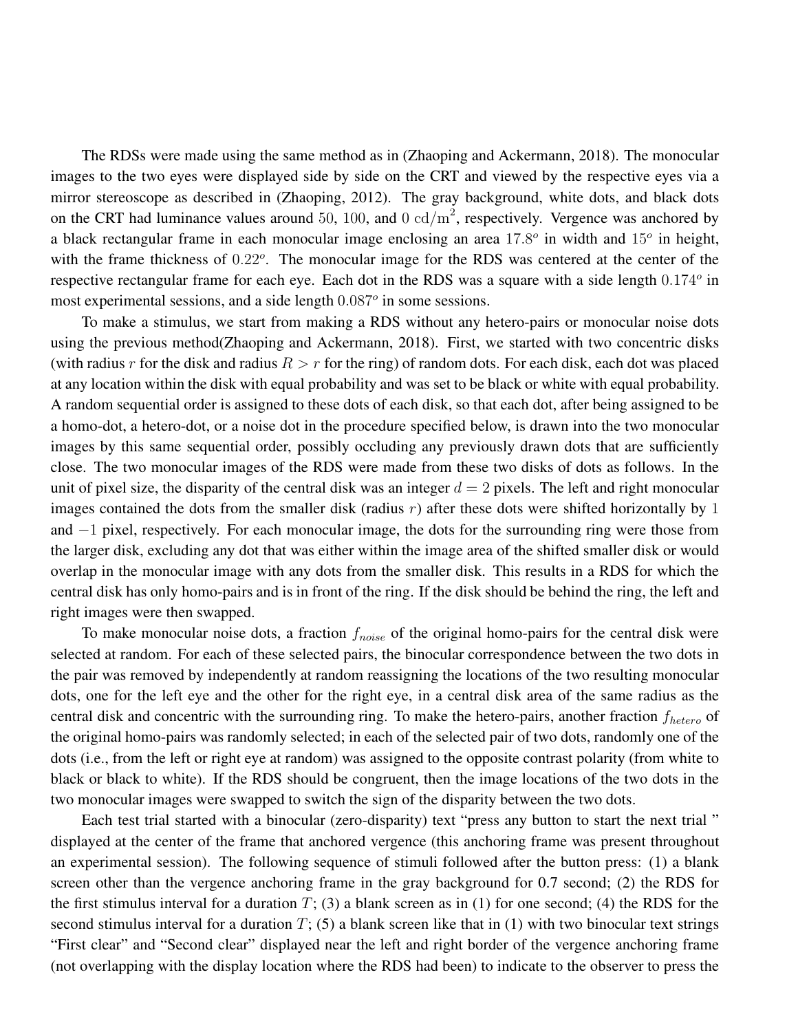The RDSs were made using the same method as in (Zhaoping and Ackermann, 2018). The monocular images to the two eyes were displayed side by side on the CRT and viewed by the respective eyes via a mirror stereoscope as described in (Zhaoping, 2012). The gray background, white dots, and black dots on the CRT had luminance values around 50, 100, and 0  $\text{cd/m}^2$ , respectively. Vergence was anchored by a black rectangular frame in each monocular image enclosing an area  $17.8^{\circ}$  in width and  $15^{\circ}$  in height, with the frame thickness of 0.22°. The monocular image for the RDS was centered at the center of the respective rectangular frame for each eye. Each dot in the RDS was a square with a side length  $0.174^{\circ}$  in most experimental sessions, and a side length  $0.087<sup>o</sup>$  in some sessions.

To make a stimulus, we start from making a RDS without any hetero-pairs or monocular noise dots using the previous method(Zhaoping and Ackermann, 2018). First, we started with two concentric disks (with radius r for the disk and radius  $R > r$  for the ring) of random dots. For each disk, each dot was placed at any location within the disk with equal probability and was set to be black or white with equal probability. A random sequential order is assigned to these dots of each disk, so that each dot, after being assigned to be a homo-dot, a hetero-dot, or a noise dot in the procedure specified below, is drawn into the two monocular images by this same sequential order, possibly occluding any previously drawn dots that are sufficiently close. The two monocular images of the RDS were made from these two disks of dots as follows. In the unit of pixel size, the disparity of the central disk was an integer  $d = 2$  pixels. The left and right monocular images contained the dots from the smaller disk (radius  $r$ ) after these dots were shifted horizontally by 1 and −1 pixel, respectively. For each monocular image, the dots for the surrounding ring were those from the larger disk, excluding any dot that was either within the image area of the shifted smaller disk or would overlap in the monocular image with any dots from the smaller disk. This results in a RDS for which the central disk has only homo-pairs and is in front of the ring. If the disk should be behind the ring, the left and right images were then swapped.

To make monocular noise dots, a fraction  $f_{noise}$  of the original homo-pairs for the central disk were selected at random. For each of these selected pairs, the binocular correspondence between the two dots in the pair was removed by independently at random reassigning the locations of the two resulting monocular dots, one for the left eye and the other for the right eye, in a central disk area of the same radius as the central disk and concentric with the surrounding ring. To make the hetero-pairs, another fraction  $f_{hetero}$  of the original homo-pairs was randomly selected; in each of the selected pair of two dots, randomly one of the dots (i.e., from the left or right eye at random) was assigned to the opposite contrast polarity (from white to black or black to white). If the RDS should be congruent, then the image locations of the two dots in the two monocular images were swapped to switch the sign of the disparity between the two dots.

Each test trial started with a binocular (zero-disparity) text "press any button to start the next trial " displayed at the center of the frame that anchored vergence (this anchoring frame was present throughout an experimental session). The following sequence of stimuli followed after the button press: (1) a blank screen other than the vergence anchoring frame in the gray background for 0.7 second; (2) the RDS for the first stimulus interval for a duration  $T$ ; (3) a blank screen as in (1) for one second; (4) the RDS for the second stimulus interval for a duration  $T$ ; (5) a blank screen like that in (1) with two binocular text strings "First clear" and "Second clear" displayed near the left and right border of the vergence anchoring frame (not overlapping with the display location where the RDS had been) to indicate to the observer to press the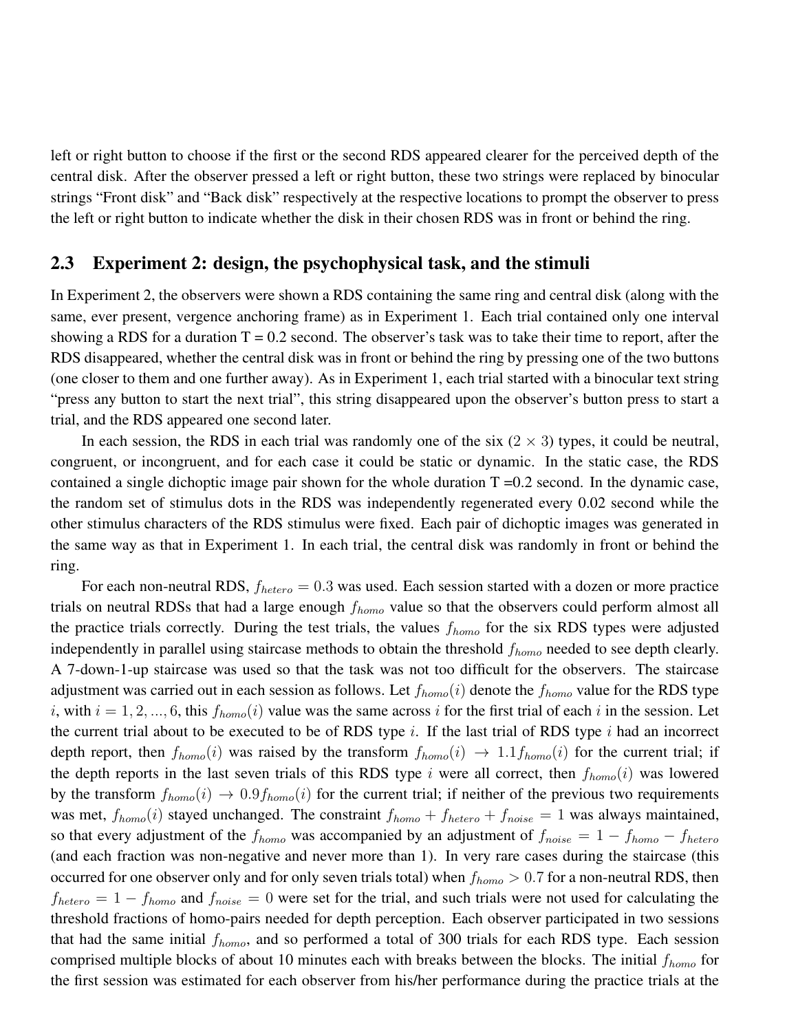left or right button to choose if the first or the second RDS appeared clearer for the perceived depth of the central disk. After the observer pressed a left or right button, these two strings were replaced by binocular strings "Front disk" and "Back disk" respectively at the respective locations to prompt the observer to press the left or right button to indicate whether the disk in their chosen RDS was in front or behind the ring.

### 2.3 Experiment 2: design, the psychophysical task, and the stimuli

In Experiment 2, the observers were shown a RDS containing the same ring and central disk (along with the same, ever present, vergence anchoring frame) as in Experiment 1. Each trial contained only one interval showing a RDS for a duration  $T = 0.2$  second. The observer's task was to take their time to report, after the RDS disappeared, whether the central disk was in front or behind the ring by pressing one of the two buttons (one closer to them and one further away). As in Experiment 1, each trial started with a binocular text string "press any button to start the next trial", this string disappeared upon the observer's button press to start a trial, and the RDS appeared one second later.

In each session, the RDS in each trial was randomly one of the six  $(2 \times 3)$  types, it could be neutral, congruent, or incongruent, and for each case it could be static or dynamic. In the static case, the RDS contained a single dichoptic image pair shown for the whole duration  $T = 0.2$  second. In the dynamic case, the random set of stimulus dots in the RDS was independently regenerated every 0.02 second while the other stimulus characters of the RDS stimulus were fixed. Each pair of dichoptic images was generated in the same way as that in Experiment 1. In each trial, the central disk was randomly in front or behind the ring.

For each non-neutral RDS,  $f_{hetero} = 0.3$  was used. Each session started with a dozen or more practice trials on neutral RDSs that had a large enough  $f_{homo}$  value so that the observers could perform almost all the practice trials correctly. During the test trials, the values  $f_{homo}$  for the six RDS types were adjusted independently in parallel using staircase methods to obtain the threshold  $f_{homo}$  needed to see depth clearly. A 7-down-1-up staircase was used so that the task was not too difficult for the observers. The staircase adjustment was carried out in each session as follows. Let  $f_{homo}(i)$  denote the  $f_{homo}$  value for the RDS type i, with  $i = 1, 2, ..., 6$ , this  $f_{homo}(i)$  value was the same across i for the first trial of each i in the session. Let the current trial about to be executed to be of RDS type i. If the last trial of RDS type i had an incorrect depth report, then  $f_{homo}(i)$  was raised by the transform  $f_{homo}(i) \rightarrow 1.1f_{homo}(i)$  for the current trial; if the depth reports in the last seven trials of this RDS type i were all correct, then  $f_{homo}(i)$  was lowered by the transform  $f_{homo}(i) \rightarrow 0.9f_{homo}(i)$  for the current trial; if neither of the previous two requirements was met,  $f_{homo}(i)$  stayed unchanged. The constraint  $f_{homo} + f_{hetero} + f_{noise} = 1$  was always maintained, so that every adjustment of the  $f_{homo}$  was accompanied by an adjustment of  $f_{noise} = 1 - f_{homo} - f_{hetero}$ (and each fraction was non-negative and never more than 1). In very rare cases during the staircase (this occurred for one observer only and for only seven trials total) when  $f_{homo} > 0.7$  for a non-neutral RDS, then  $f_{hetero} = 1 - f_{homo}$  and  $f_{noise} = 0$  were set for the trial, and such trials were not used for calculating the threshold fractions of homo-pairs needed for depth perception. Each observer participated in two sessions that had the same initial  $f_{homo}$ , and so performed a total of 300 trials for each RDS type. Each session comprised multiple blocks of about 10 minutes each with breaks between the blocks. The initial  $f_{homo}$  for the first session was estimated for each observer from his/her performance during the practice trials at the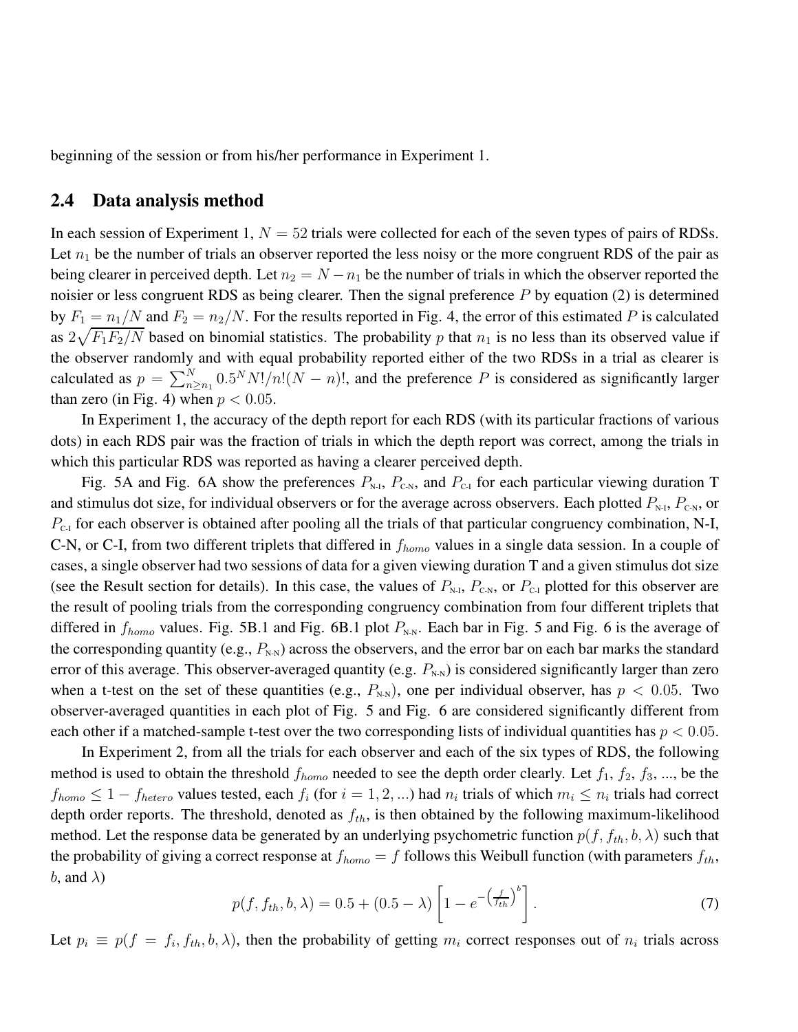beginning of the session or from his/her performance in Experiment 1.

### 2.4 Data analysis method

In each session of Experiment 1,  $N = 52$  trials were collected for each of the seven types of pairs of RDSs. Let  $n_1$  be the number of trials an observer reported the less noisy or the more congruent RDS of the pair as being clearer in perceived depth. Let  $n_2 = N - n_1$  be the number of trials in which the observer reported the noisier or less congruent RDS as being clearer. Then the signal preference  $P$  by equation (2) is determined by  $F_1 = n_1/N$  and  $F_2 = n_2/N$ . For the results reported in Fig. 4, the error of this estimated P is calculated as  $2\sqrt{F_1F_2/N}$  based on binomial statistics. The probability p that  $n_1$  is no less than its observed value if the observer randomly and with equal probability reported either of the two RDSs in a trial as clearer is calculated as  $p = \sum_{n=1}^{N} 0.5^N N!/n!(N-n)!$ , and the preference P is considered as significantly larger than zero (in Fig. 4) when  $p < 0.05$ .

In Experiment 1, the accuracy of the depth report for each RDS (with its particular fractions of various dots) in each RDS pair was the fraction of trials in which the depth report was correct, among the trials in which this particular RDS was reported as having a clearer perceived depth.

Fig. 5A and Fig. 6A show the preferences  $P_{N-I}$ ,  $P_{C-N}$ , and  $P_{C-I}$  for each particular viewing duration T and stimulus dot size, for individual observers or for the average across observers. Each plotted  $P_{N,I}$ ,  $P_{CN}$ , or  $P_{C-1}$  for each observer is obtained after pooling all the trials of that particular congruency combination, N-I, C-N, or C-I, from two different triplets that differed in  $f_{homo}$  values in a single data session. In a couple of cases, a single observer had two sessions of data for a given viewing duration T and a given stimulus dot size (see the Result section for details). In this case, the values of  $P_{N\text{-}I}$ ,  $P_{C\text{-}N}$ , or  $P_{C\text{-}I}$  plotted for this observer are the result of pooling trials from the corresponding congruency combination from four different triplets that differed in  $f_{homo}$  values. Fig. 5B.1 and Fig. 6B.1 plot  $P_{N-N}$ . Each bar in Fig. 5 and Fig. 6 is the average of the corresponding quantity (e.g.,  $P_{N-N}$ ) across the observers, and the error bar on each bar marks the standard error of this average. This observer-averaged quantity (e.g.  $P_{N-N}$ ) is considered significantly larger than zero when a t-test on the set of these quantities (e.g.,  $P_{N-N}$ ), one per individual observer, has  $p < 0.05$ . Two observer-averaged quantities in each plot of Fig. 5 and Fig. 6 are considered significantly different from each other if a matched-sample t-test over the two corresponding lists of individual quantities has  $p < 0.05$ .

In Experiment 2, from all the trials for each observer and each of the six types of RDS, the following method is used to obtain the threshold  $f_{homo}$  needed to see the depth order clearly. Let  $f_1, f_2, f_3, ...,$  be the  $f_{homo} \leq 1-f_{hetero}$  values tested, each  $f_i$  (for  $i=1,2,...$ ) had  $n_i$  trials of which  $m_i \leq n_i$  trials had correct depth order reports. The threshold, denoted as  $f_{th}$ , is then obtained by the following maximum-likelihood method. Let the response data be generated by an underlying psychometric function  $p(f, f_{th}, b, \lambda)$  such that the probability of giving a correct response at  $f_{homo} = f$  follows this Weibull function (with parameters  $f_{th}$ , b, and  $\lambda$ )

$$
p(f, f_{th}, b, \lambda) = 0.5 + (0.5 - \lambda) \left[ 1 - e^{-\left(\frac{f}{f_{th}}\right)^b} \right].
$$
 (7)

Let  $p_i \equiv p(f = f_i, f_{th}, b, \lambda)$ , then the probability of getting  $m_i$  correct responses out of  $n_i$  trials across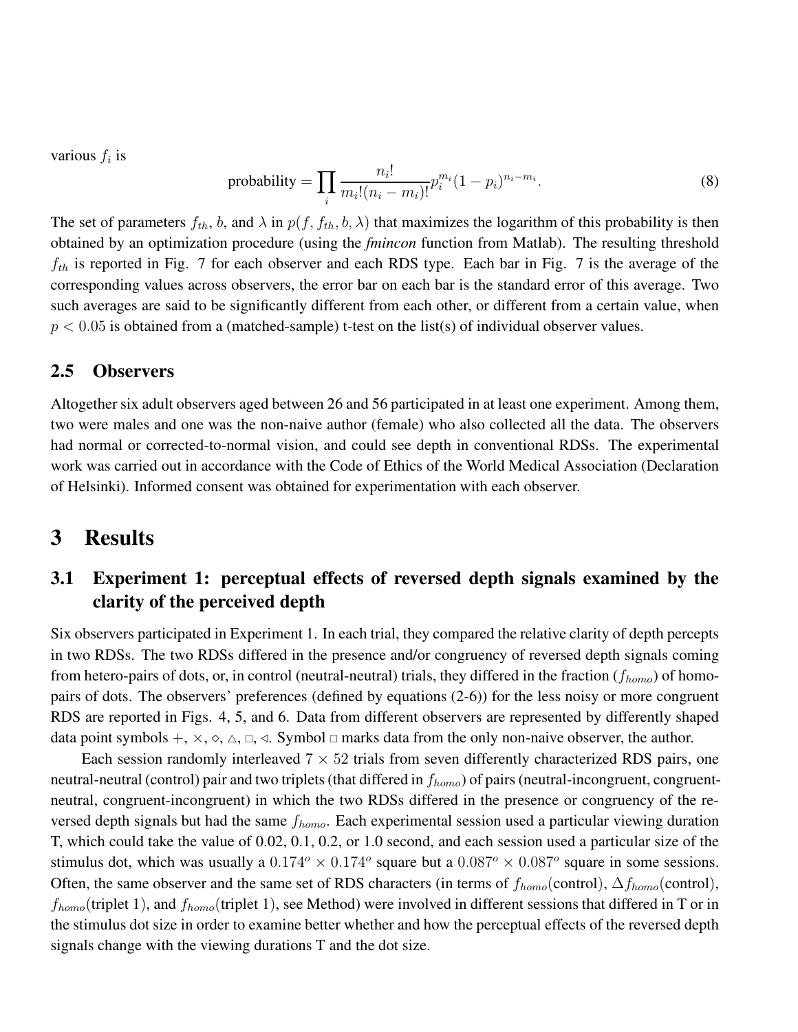various  $f_i$  is

$$
\text{probability} = \prod_{i} \frac{n_i!}{m_i! (n_i - m_i)!} p_i^{m_i} (1 - p_i)^{n_i - m_i}.
$$
\n(8)

The set of parameters  $f_{th}$ , b, and  $\lambda$  in  $p(f, f_{th}, b, \lambda)$  that maximizes the logarithm of this probability is then obtained by an optimization procedure (using the *fmincon* function from Matlab). The resulting threshold  $f_{th}$  is reported in Fig. 7 for each observer and each RDS type. Each bar in Fig. 7 is the average of the corresponding values across observers, the error bar on each bar is the standard error of this average. Two such averages are said to be significantly different from each other, or different from a certain value, when  $p < 0.05$  is obtained from a (matched-sample) t-test on the list(s) of individual observer values.

### 2.5 Observers

Altogether six adult observers aged between 26 and 56 participated in at least one experiment. Among them, two were males and one was the non-naive author (female) who also collected all the data. The observers had normal or corrected-to-normal vision, and could see depth in conventional RDSs. The experimental work was carried out in accordance with the Code of Ethics of the World Medical Association (Declaration of Helsinki). Informed consent was obtained for experimentation with each observer.

## 3 Results

## 3.1 Experiment 1: perceptual effects of reversed depth signals examined by the clarity of the perceived depth

Six observers participated in Experiment 1. In each trial, they compared the relative clarity of depth percepts in two RDSs. The two RDSs differed in the presence and/or congruency of reversed depth signals coming from hetero-pairs of dots, or, in control (neutral-neutral) trials, they differed in the fraction  $(f_{homo})$  of homopairs of dots. The observers' preferences (defined by equations (2-6)) for the less noisy or more congruent RDS are reported in Figs. 4, 5, and 6. Data from different observers are represented by differently shaped data point symbols  $+, \times, \diamond, \triangle, \square, \triangleleft$ . Symbol  $\Box$  marks data from the only non-naive observer, the author.

Each session randomly interleaved  $7 \times 52$  trials from seven differently characterized RDS pairs, one neutral-neutral (control) pair and two triplets (that differed in  $f_{homo}$ ) of pairs (neutral-incongruent, congruentneutral, congruent-incongruent) in which the two RDSs differed in the presence or congruency of the reversed depth signals but had the same  $f_{homo}$ . Each experimental session used a particular viewing duration T, which could take the value of 0.02, 0.1, 0.2, or 1.0 second, and each session used a particular size of the stimulus dot, which was usually a  $0.174^{\circ} \times 0.174^{\circ}$  square but a  $0.087^{\circ} \times 0.087^{\circ}$  square in some sessions. Often, the same observer and the same set of RDS characters (in terms of  $f_{homo}$ (control),  $\Delta f_{homo}$ (control),  $f_{homo}$ (triplet 1), and  $f_{homo}$ (triplet 1), see Method) were involved in different sessions that differed in T or in the stimulus dot size in order to examine better whether and how the perceptual effects of the reversed depth signals change with the viewing durations T and the dot size.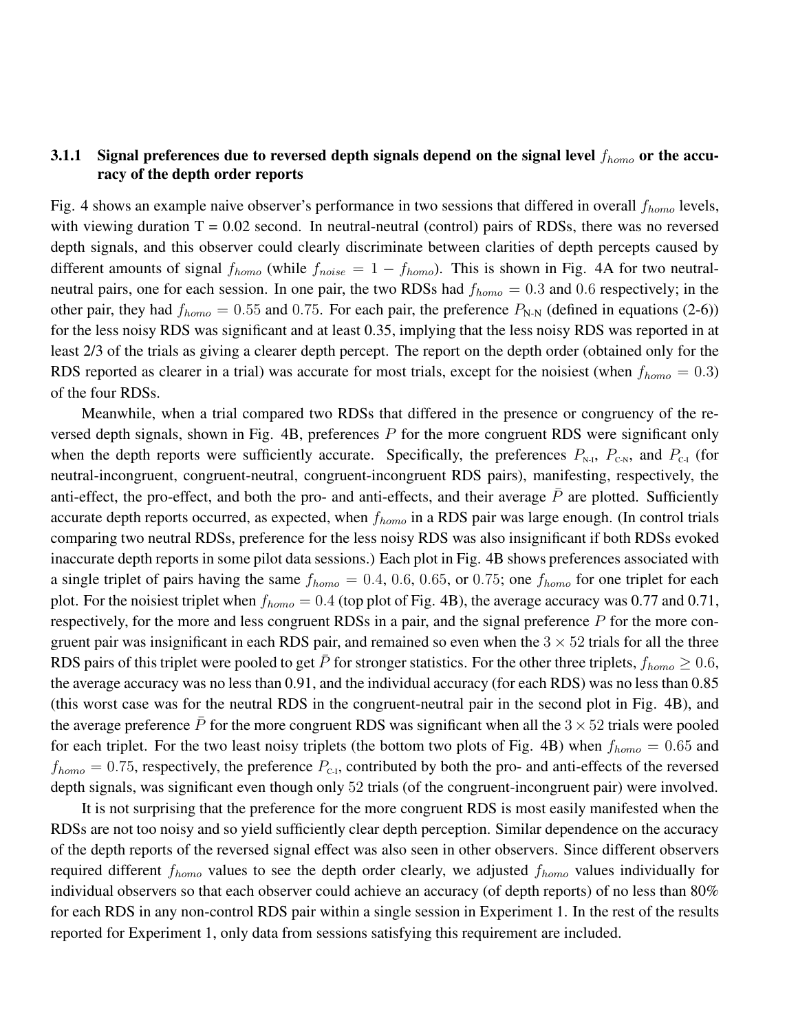### 3.1.1 Signal preferences due to reversed depth signals depend on the signal level  $f_{homo}$  or the accuracy of the depth order reports

Fig. 4 shows an example naive observer's performance in two sessions that differed in overall  $f_{homo}$  levels, with viewing duration  $T = 0.02$  second. In neutral-neutral (control) pairs of RDSs, there was no reversed depth signals, and this observer could clearly discriminate between clarities of depth percepts caused by different amounts of signal  $f_{homo}$  (while  $f_{noise} = 1 - f_{homo}$ ). This is shown in Fig. 4A for two neutralneutral pairs, one for each session. In one pair, the two RDSs had  $f_{homo} = 0.3$  and 0.6 respectively; in the other pair, they had  $f_{homo} = 0.55$  and 0.75. For each pair, the preference  $P_{N-N}$  (defined in equations (2-6)) for the less noisy RDS was significant and at least 0.35, implying that the less noisy RDS was reported in at least 2/3 of the trials as giving a clearer depth percept. The report on the depth order (obtained only for the RDS reported as clearer in a trial) was accurate for most trials, except for the noisiest (when  $f_{homo} = 0.3$ ) of the four RDSs.

Meanwhile, when a trial compared two RDSs that differed in the presence or congruency of the reversed depth signals, shown in Fig. 4B, preferences  $P$  for the more congruent RDS were significant only when the depth reports were sufficiently accurate. Specifically, the preferences  $P_{\text{N-I}}$ ,  $P_{\text{C-N}}$ , and  $P_{\text{C-I}}$  (for neutral-incongruent, congruent-neutral, congruent-incongruent RDS pairs), manifesting, respectively, the anti-effect, the pro-effect, and both the pro- and anti-effects, and their average  $\bar{P}$  are plotted. Sufficiently accurate depth reports occurred, as expected, when  $f_{homo}$  in a RDS pair was large enough. (In control trials comparing two neutral RDSs, preference for the less noisy RDS was also insignificant if both RDSs evoked inaccurate depth reports in some pilot data sessions.) Each plot in Fig. 4B shows preferences associated with a single triplet of pairs having the same  $f_{homo} = 0.4, 0.6, 0.65,$  or 0.75; one  $f_{homo}$  for one triplet for each plot. For the noisiest triplet when  $f_{homo} = 0.4$  (top plot of Fig. 4B), the average accuracy was 0.77 and 0.71, respectively, for the more and less congruent RDSs in a pair, and the signal preference  $P$  for the more congruent pair was insignificant in each RDS pair, and remained so even when the  $3 \times 52$  trials for all the three RDS pairs of this triplet were pooled to get  $\bar{P}$  for stronger statistics. For the other three triplets,  $f_{homo} \ge 0.6$ , the average accuracy was no less than 0.91, and the individual accuracy (for each RDS) was no less than 0.85 (this worst case was for the neutral RDS in the congruent-neutral pair in the second plot in Fig. 4B), and the average preference  $\bar{P}$  for the more congruent RDS was significant when all the 3  $\times$  52 trials were pooled for each triplet. For the two least noisy triplets (the bottom two plots of Fig. 4B) when  $f_{homo} = 0.65$  and  $f_{homo} = 0.75$ , respectively, the preference  $P_{c,i}$ , contributed by both the pro- and anti-effects of the reversed depth signals, was significant even though only 52 trials (of the congruent-incongruent pair) were involved.

It is not surprising that the preference for the more congruent RDS is most easily manifested when the RDSs are not too noisy and so yield sufficiently clear depth perception. Similar dependence on the accuracy of the depth reports of the reversed signal effect was also seen in other observers. Since different observers required different  $f_{homo}$  values to see the depth order clearly, we adjusted  $f_{homo}$  values individually for individual observers so that each observer could achieve an accuracy (of depth reports) of no less than 80% for each RDS in any non-control RDS pair within a single session in Experiment 1. In the rest of the results reported for Experiment 1, only data from sessions satisfying this requirement are included.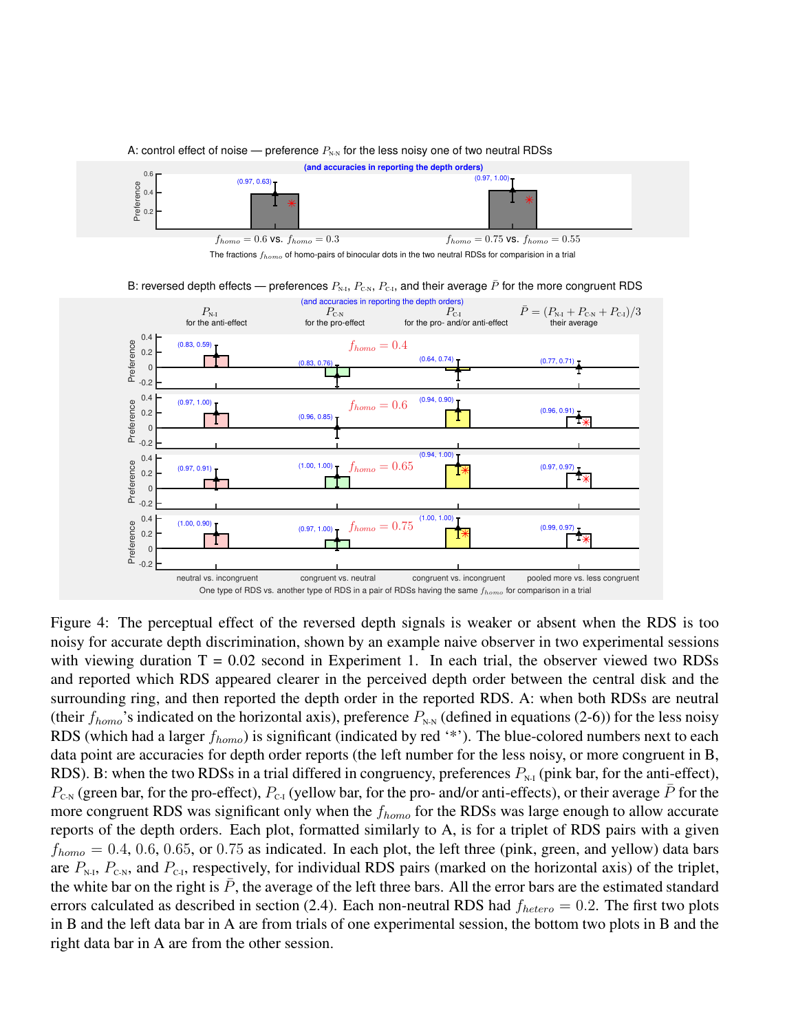

Figure 4: The perceptual effect of the reversed depth signals is weaker or absent when the RDS is too noisy for accurate depth discrimination, shown by an example naive observer in two experimental sessions with viewing duration  $T = 0.02$  second in Experiment 1. In each trial, the observer viewed two RDSs and reported which RDS appeared clearer in the perceived depth order between the central disk and the surrounding ring, and then reported the depth order in the reported RDS. A: when both RDSs are neutral (their  $f_{homo}$ 's indicated on the horizontal axis), preference  $P_{N,N}$  (defined in equations (2-6)) for the less noisy RDS (which had a larger  $f_{homo}$ ) is significant (indicated by red '\*'). The blue-colored numbers next to each data point are accuracies for depth order reports (the left number for the less noisy, or more congruent in B, RDS). B: when the two RDSs in a trial differed in congruency, preferences  $P_{N-1}$  (pink bar, for the anti-effect),  $P_{\text{CN}}$  (green bar, for the pro-effect),  $P_{\text{C-I}}$  (yellow bar, for the pro- and/or anti-effects), or their average  $\bar{P}$  for the more congruent RDS was significant only when the  $f_{homo}$  for the RDSs was large enough to allow accurate reports of the depth orders. Each plot, formatted similarly to A, is for a triplet of RDS pairs with a given  $f_{homo} = 0.4, 0.6, 0.65,$  or 0.75 as indicated. In each plot, the left three (pink, green, and yellow) data bars are  $P_{N-1}$ ,  $P_{C-N}$ , and  $P_{C-1}$ , respectively, for individual RDS pairs (marked on the horizontal axis) of the triplet, the white bar on the right is  $\bar{P}$ , the average of the left three bars. All the error bars are the estimated standard errors calculated as described in section (2.4). Each non-neutral RDS had  $f_{hetero} = 0.2$ . The first two plots in B and the left data bar in A are from trials of one experimental session, the bottom two plots in B and the right data bar in A are from the other session.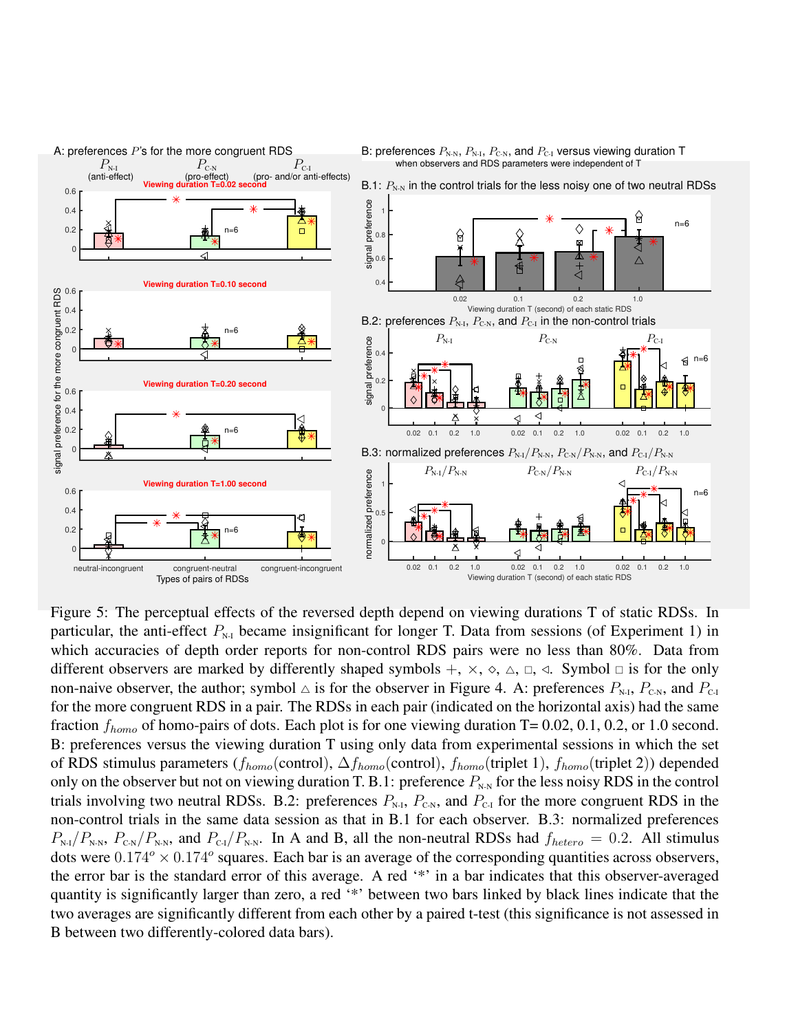

Figure 5: The perceptual effects of the reversed depth depend on viewing durations T of static RDSs. In particular, the anti-effect  $P_{N-1}$  became insignificant for longer T. Data from sessions (of Experiment 1) in which accuracies of depth order reports for non-control RDS pairs were no less than 80%. Data from different observers are marked by differently shaped symbols  $+$ ,  $\times$ ,  $\Diamond$ ,  $\Diamond$ ,  $\Box$ ,  $\Diamond$ . Symbol  $\Box$  is for the only non-naive observer, the author; symbol  $\triangle$  is for the observer in Figure 4. A: preferences  $P_{N,I}$ ,  $P_{CN}$ , and  $P_{C-I}$ for the more congruent RDS in a pair. The RDSs in each pair (indicated on the horizontal axis) had the same fraction  $f_{homo}$  of homo-pairs of dots. Each plot is for one viewing duration T= 0.02, 0.1, 0.2, or 1.0 second. B: preferences versus the viewing duration T using only data from experimental sessions in which the set of RDS stimulus parameters ( $f_{homo}$ (control),  $\Delta f_{homo}$ (control),  $f_{homo}$ (triplet 1),  $f_{homo}$ (triplet 2)) depended only on the observer but not on viewing duration T. B.1: preference  $P_{N-N}$  for the less noisy RDS in the control trials involving two neutral RDSs. B.2: preferences  $P_{N,I}$ ,  $P_{C,N}$ , and  $P_{C,I}$  for the more congruent RDS in the non-control trials in the same data session as that in B.1 for each observer. B.3: normalized preferences  $P_{N-1}/P_{N-N}$ ,  $P_{CN}/P_{N-N}$ , and  $P_{C-1}/P_{N-N}$ . In A and B, all the non-neutral RDSs had  $f_{hetero} = 0.2$ . All stimulus dots were  $0.174^{\circ} \times 0.174^{\circ}$  squares. Each bar is an average of the corresponding quantities across observers, the error bar is the standard error of this average. A red '\*' in a bar indicates that this observer-averaged quantity is significantly larger than zero, a red '\*' between two bars linked by black lines indicate that the two averages are significantly different from each other by a paired t-test (this significance is not assessed in B between two differently-colored data bars).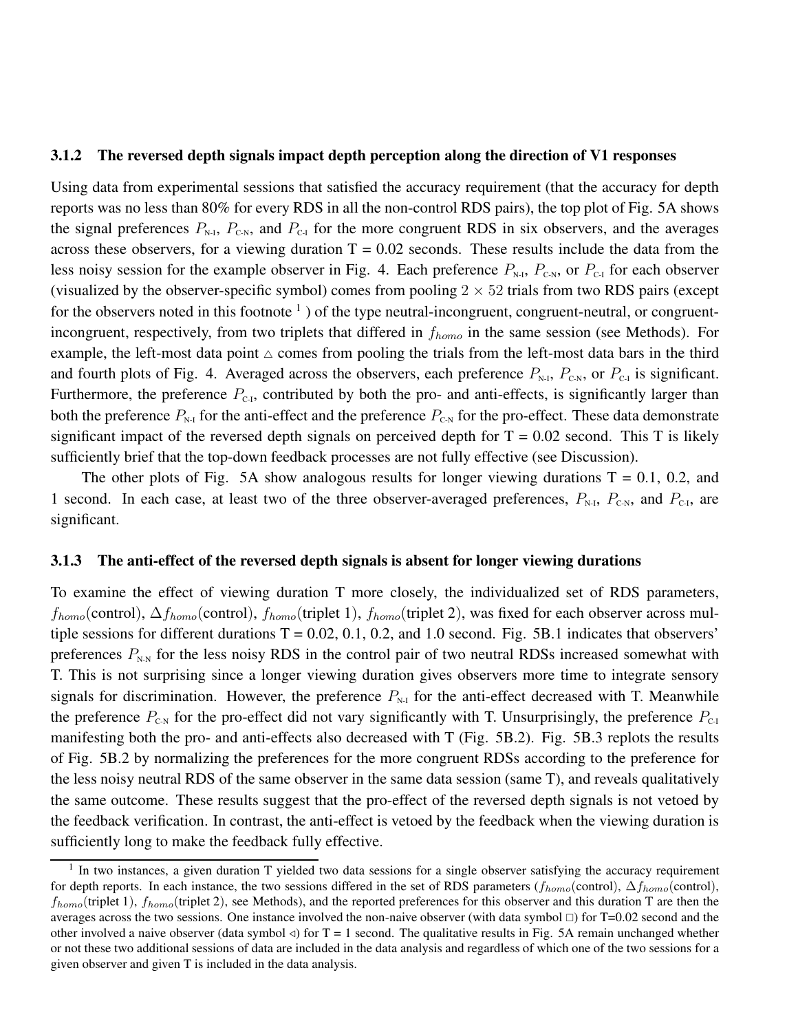#### 3.1.2 The reversed depth signals impact depth perception along the direction of V1 responses

Using data from experimental sessions that satisfied the accuracy requirement (that the accuracy for depth reports was no less than 80% for every RDS in all the non-control RDS pairs), the top plot of Fig. 5A shows the signal preferences  $P_{N-I}$ ,  $P_{C-N}$ , and  $P_{C-I}$  for the more congruent RDS in six observers, and the averages across these observers, for a viewing duration  $T = 0.02$  seconds. These results include the data from the less noisy session for the example observer in Fig. 4. Each preference  $P_{N-I}$ ,  $P_{C-N}$ , or  $P_{C-I}$  for each observer (visualized by the observer-specific symbol) comes from pooling  $2 \times 52$  trials from two RDS pairs (except for the observers noted in this footnote  $<sup>1</sup>$  ) of the type neutral-incongruent, congruent-neutral, or congruent-</sup> incongruent, respectively, from two triplets that differed in  $f_{homo}$  in the same session (see Methods). For example, the left-most data point  $\triangle$  comes from pooling the trials from the left-most data bars in the third and fourth plots of Fig. 4. Averaged across the observers, each preference  $P_{N,I}$ ,  $P_{C,N}$ , or  $P_{C-I}$  is significant. Furthermore, the preference  $P_{C_1}$ , contributed by both the pro- and anti-effects, is significantly larger than both the preference  $P_{N-1}$  for the anti-effect and the preference  $P_{N-1}$  for the pro-effect. These data demonstrate significant impact of the reversed depth signals on perceived depth for  $T = 0.02$  second. This T is likely sufficiently brief that the top-down feedback processes are not fully effective (see Discussion).

The other plots of Fig. 5A show analogous results for longer viewing durations  $T = 0.1$ , 0.2, and 1 second. In each case, at least two of the three observer-averaged preferences,  $P_{N\text{-}I}$ ,  $P_{C\text{-}N}$ , and  $P_{C\text{-}I}$ , are significant.

#### 3.1.3 The anti-effect of the reversed depth signals is absent for longer viewing durations

To examine the effect of viewing duration T more closely, the individualized set of RDS parameters,  $f_{homo}$ (control),  $\Delta f_{homo}$ (control),  $f_{homo}$ (triplet 1),  $f_{homo}$ (triplet 2), was fixed for each observer across multiple sessions for different durations  $T = 0.02, 0.1, 0.2,$  and 1.0 second. Fig. 5B.1 indicates that observers' preferences  $P_{N-N}$  for the less noisy RDS in the control pair of two neutral RDSs increased somewhat with T. This is not surprising since a longer viewing duration gives observers more time to integrate sensory signals for discrimination. However, the preference  $P_{N-1}$  for the anti-effect decreased with T. Meanwhile the preference  $P_{\text{CN}}$  for the pro-effect did not vary significantly with T. Unsurprisingly, the preference  $P_{\text{CN}}$ manifesting both the pro- and anti-effects also decreased with T (Fig. 5B.2). Fig. 5B.3 replots the results of Fig. 5B.2 by normalizing the preferences for the more congruent RDSs according to the preference for the less noisy neutral RDS of the same observer in the same data session (same T), and reveals qualitatively the same outcome. These results suggest that the pro-effect of the reversed depth signals is not vetoed by the feedback verification. In contrast, the anti-effect is vetoed by the feedback when the viewing duration is sufficiently long to make the feedback fully effective.

<sup>&</sup>lt;sup>1</sup> In two instances, a given duration T yielded two data sessions for a single observer satisfying the accuracy requirement for depth reports. In each instance, the two sessions differed in the set of RDS parameters ( $f_{homo}$ (control),  $\Delta f_{homo}$ (control),  $f_{homo}$ (triplet 1),  $f_{homo}$ (triplet 2), see Methods), and the reported preferences for this observer and this duration T are then the averages across the two sessions. One instance involved the non-naive observer (with data symbol  $\Box$ ) for T=0.02 second and the other involved a naive observer (data symbol  $\triangleleft$ ) for T = 1 second. The qualitative results in Fig. 5A remain unchanged whether or not these two additional sessions of data are included in the data analysis and regardless of which one of the two sessions for a given observer and given T is included in the data analysis.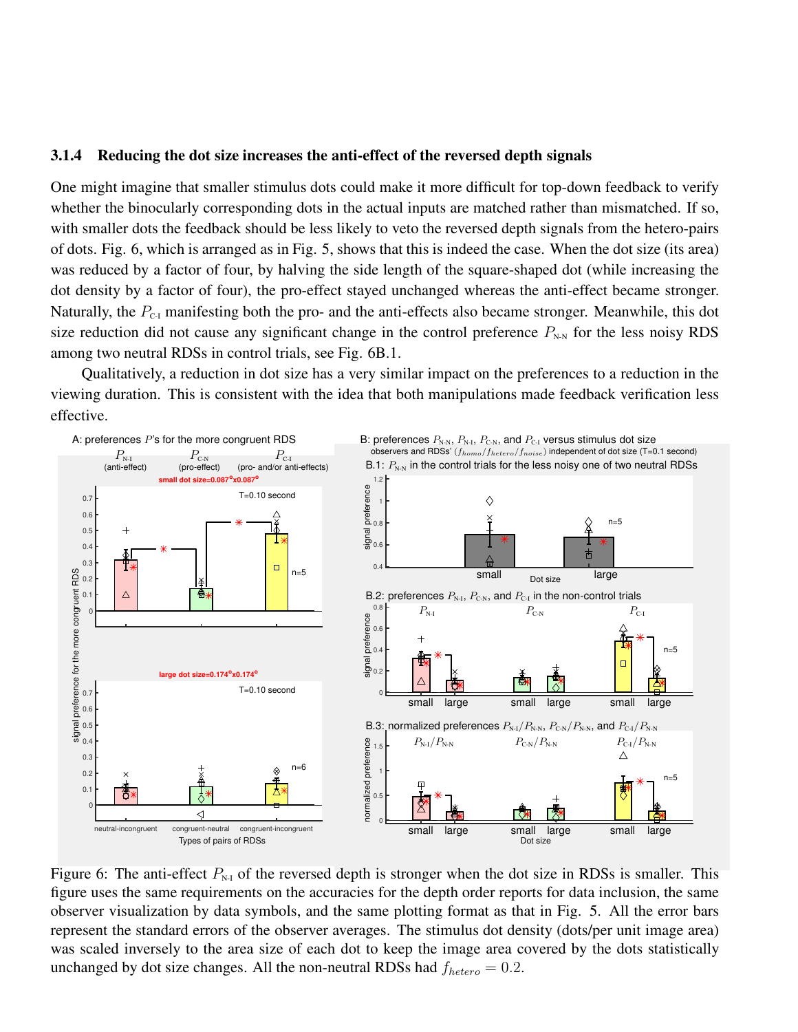#### 3.1.4 Reducing the dot size increases the anti-effect of the reversed depth signals

One might imagine that smaller stimulus dots could make it more difficult for top-down feedback to verify whether the binocularly corresponding dots in the actual inputs are matched rather than mismatched. If so, with smaller dots the feedback should be less likely to veto the reversed depth signals from the hetero-pairs of dots. Fig. 6, which is arranged as in Fig. 5, shows that this is indeed the case. When the dot size (its area) was reduced by a factor of four, by halving the side length of the square-shaped dot (while increasing the dot density by a factor of four), the pro-effect stayed unchanged whereas the anti-effect became stronger. Naturally, the  $P_{c1}$  manifesting both the pro- and the anti-effects also became stronger. Meanwhile, this dot size reduction did not cause any significant change in the control preference  $P_{N-N}$  for the less noisy RDS among two neutral RDSs in control trials, see Fig. 6B.1.

Qualitatively, a reduction in dot size has a very similar impact on the preferences to a reduction in the viewing duration. This is consistent with the idea that both manipulations made feedback verification less effective.



Figure 6: The anti-effect  $P_{N-1}$  of the reversed depth is stronger when the dot size in RDSs is smaller. This figure uses the same requirements on the accuracies for the depth order reports for data inclusion, the same observer visualization by data symbols, and the same plotting format as that in Fig. 5. All the error bars represent the standard errors of the observer averages. The stimulus dot density (dots/per unit image area) was scaled inversely to the area size of each dot to keep the image area covered by the dots statistically unchanged by dot size changes. All the non-neutral RDSs had  $f_{hetero} = 0.2$ .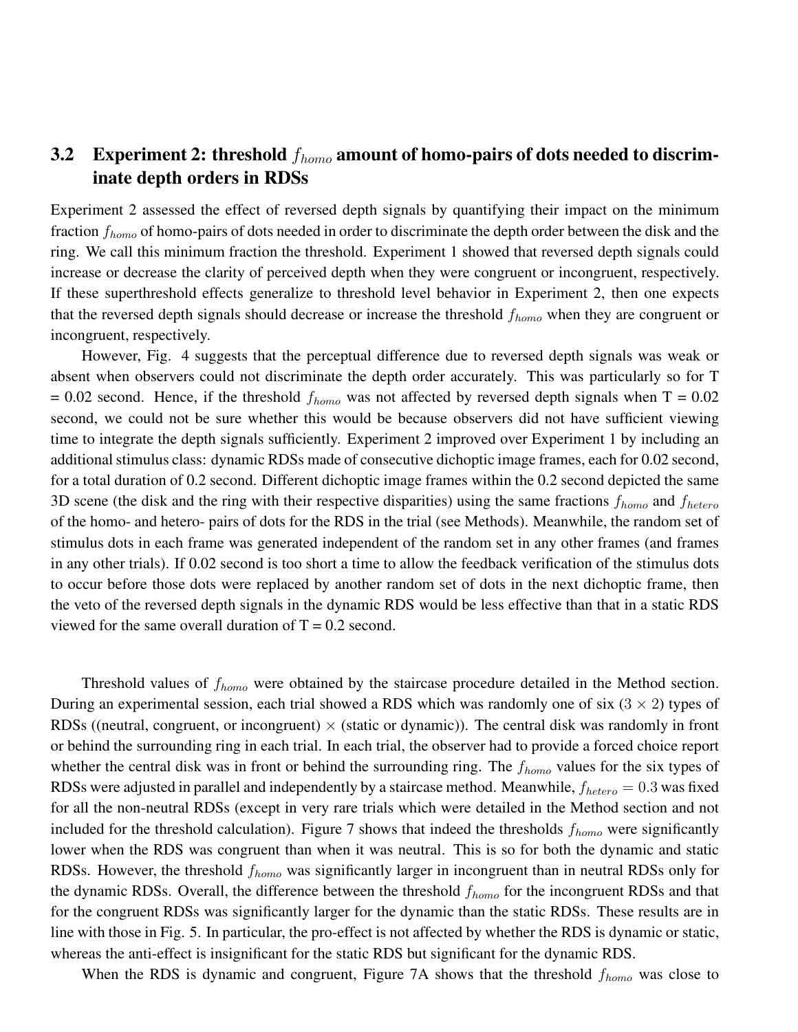## 3.2 Experiment 2: threshold  $f_{homo}$  amount of homo-pairs of dots needed to discriminate depth orders in RDSs

Experiment 2 assessed the effect of reversed depth signals by quantifying their impact on the minimum fraction  $f_{homo}$  of homo-pairs of dots needed in order to discriminate the depth order between the disk and the ring. We call this minimum fraction the threshold. Experiment 1 showed that reversed depth signals could increase or decrease the clarity of perceived depth when they were congruent or incongruent, respectively. If these superthreshold effects generalize to threshold level behavior in Experiment 2, then one expects that the reversed depth signals should decrease or increase the threshold  $f_{homo}$  when they are congruent or incongruent, respectively.

However, Fig. 4 suggests that the perceptual difference due to reversed depth signals was weak or absent when observers could not discriminate the depth order accurately. This was particularly so for T  $= 0.02$  second. Hence, if the threshold  $f_{homo}$  was not affected by reversed depth signals when T = 0.02 second, we could not be sure whether this would be because observers did not have sufficient viewing time to integrate the depth signals sufficiently. Experiment 2 improved over Experiment 1 by including an additional stimulus class: dynamic RDSs made of consecutive dichoptic image frames, each for 0.02 second, for a total duration of 0.2 second. Different dichoptic image frames within the 0.2 second depicted the same 3D scene (the disk and the ring with their respective disparities) using the same fractions  $f_{homo}$  and  $f_{hetero}$ of the homo- and hetero- pairs of dots for the RDS in the trial (see Methods). Meanwhile, the random set of stimulus dots in each frame was generated independent of the random set in any other frames (and frames in any other trials). If 0.02 second is too short a time to allow the feedback verification of the stimulus dots to occur before those dots were replaced by another random set of dots in the next dichoptic frame, then the veto of the reversed depth signals in the dynamic RDS would be less effective than that in a static RDS viewed for the same overall duration of  $T = 0.2$  second.

Threshold values of  $f_{homo}$  were obtained by the staircase procedure detailed in the Method section. During an experimental session, each trial showed a RDS which was randomly one of six  $(3 \times 2)$  types of RDSs ((neutral, congruent, or incongruent)  $\times$  (static or dynamic)). The central disk was randomly in front or behind the surrounding ring in each trial. In each trial, the observer had to provide a forced choice report whether the central disk was in front or behind the surrounding ring. The  $f_{homo}$  values for the six types of RDSs were adjusted in parallel and independently by a staircase method. Meanwhile,  $f_{hetero} = 0.3$  was fixed for all the non-neutral RDSs (except in very rare trials which were detailed in the Method section and not included for the threshold calculation). Figure 7 shows that indeed the thresholds  $f_{homo}$  were significantly lower when the RDS was congruent than when it was neutral. This is so for both the dynamic and static RDSs. However, the threshold  $f_{homo}$  was significantly larger in incongruent than in neutral RDSs only for the dynamic RDSs. Overall, the difference between the threshold  $f_{homo}$  for the incongruent RDSs and that for the congruent RDSs was significantly larger for the dynamic than the static RDSs. These results are in line with those in Fig. 5. In particular, the pro-effect is not affected by whether the RDS is dynamic or static, whereas the anti-effect is insignificant for the static RDS but significant for the dynamic RDS.

When the RDS is dynamic and congruent, Figure 7A shows that the threshold  $f_{homo}$  was close to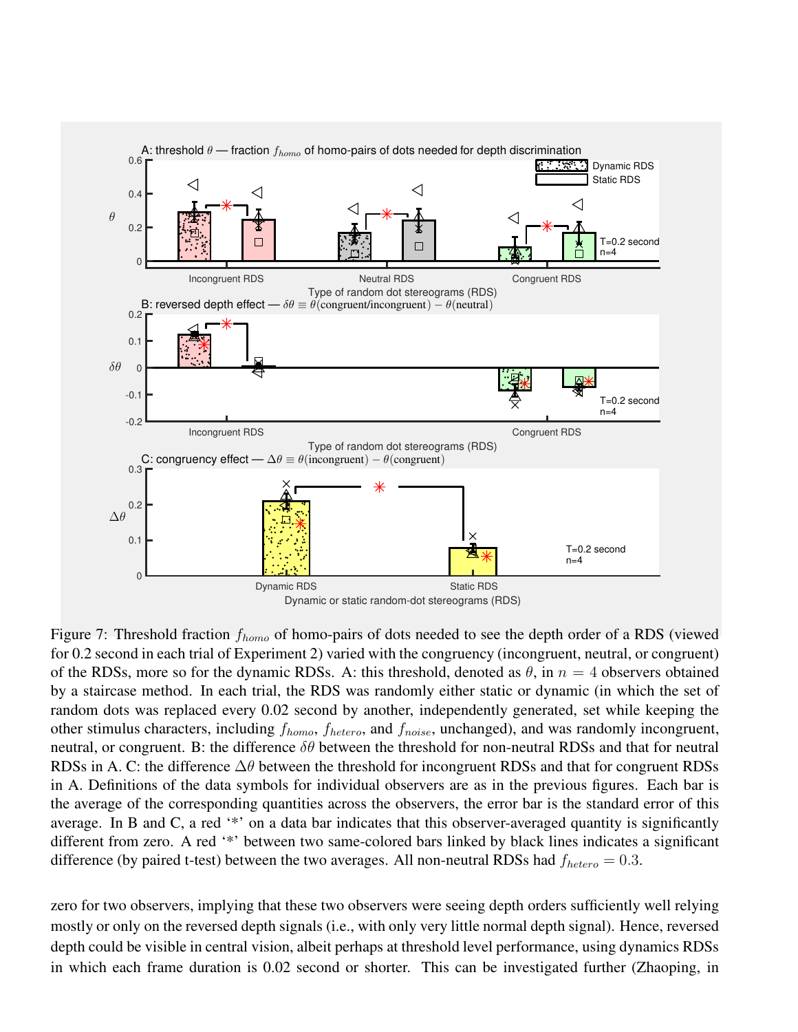

Figure 7: Threshold fraction  $f_{homo}$  of homo-pairs of dots needed to see the depth order of a RDS (viewed for 0.2 second in each trial of Experiment 2) varied with the congruency (incongruent, neutral, or congruent) of the RDSs, more so for the dynamic RDSs. A: this threshold, denoted as  $\theta$ , in  $n = 4$  observers obtained by a staircase method. In each trial, the RDS was randomly either static or dynamic (in which the set of random dots was replaced every 0.02 second by another, independently generated, set while keeping the other stimulus characters, including  $f_{homo}$ ,  $f_{hetero}$ , and  $f_{noise}$ , unchanged), and was randomly incongruent, neutral, or congruent. B: the difference  $\delta\theta$  between the threshold for non-neutral RDSs and that for neutral RDSs in A. C: the difference  $\Delta\theta$  between the threshold for incongruent RDSs and that for congruent RDSs in A. Definitions of the data symbols for individual observers are as in the previous figures. Each bar is the average of the corresponding quantities across the observers, the error bar is the standard error of this average. In B and C, a red '\*' on a data bar indicates that this observer-averaged quantity is significantly different from zero. A red '\*' between two same-colored bars linked by black lines indicates a significant difference (by paired t-test) between the two averages. All non-neutral RDSs had  $f_{hetero} = 0.3$ .

zero for two observers, implying that these two observers were seeing depth orders sufficiently well relying mostly or only on the reversed depth signals (i.e., with only very little normal depth signal). Hence, reversed depth could be visible in central vision, albeit perhaps at threshold level performance, using dynamics RDSs in which each frame duration is 0.02 second or shorter. This can be investigated further (Zhaoping, in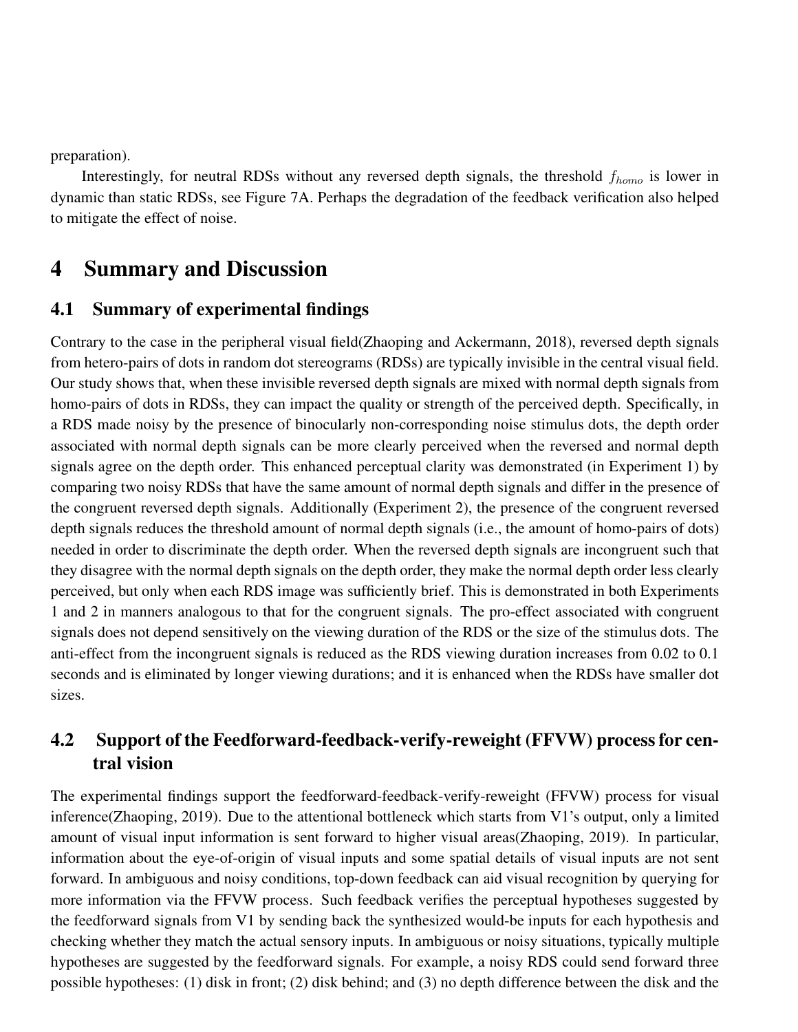preparation).

Interestingly, for neutral RDSs without any reversed depth signals, the threshold  $f_{homo}$  is lower in dynamic than static RDSs, see Figure 7A. Perhaps the degradation of the feedback verification also helped to mitigate the effect of noise.

# 4 Summary and Discussion

### 4.1 Summary of experimental findings

Contrary to the case in the peripheral visual field(Zhaoping and Ackermann, 2018), reversed depth signals from hetero-pairs of dots in random dot stereograms (RDSs) are typically invisible in the central visual field. Our study shows that, when these invisible reversed depth signals are mixed with normal depth signals from homo-pairs of dots in RDSs, they can impact the quality or strength of the perceived depth. Specifically, in a RDS made noisy by the presence of binocularly non-corresponding noise stimulus dots, the depth order associated with normal depth signals can be more clearly perceived when the reversed and normal depth signals agree on the depth order. This enhanced perceptual clarity was demonstrated (in Experiment 1) by comparing two noisy RDSs that have the same amount of normal depth signals and differ in the presence of the congruent reversed depth signals. Additionally (Experiment 2), the presence of the congruent reversed depth signals reduces the threshold amount of normal depth signals (i.e., the amount of homo-pairs of dots) needed in order to discriminate the depth order. When the reversed depth signals are incongruent such that they disagree with the normal depth signals on the depth order, they make the normal depth order less clearly perceived, but only when each RDS image was sufficiently brief. This is demonstrated in both Experiments 1 and 2 in manners analogous to that for the congruent signals. The pro-effect associated with congruent signals does not depend sensitively on the viewing duration of the RDS or the size of the stimulus dots. The anti-effect from the incongruent signals is reduced as the RDS viewing duration increases from 0.02 to 0.1 seconds and is eliminated by longer viewing durations; and it is enhanced when the RDSs have smaller dot sizes.

## 4.2 Support of the Feedforward-feedback-verify-reweight (FFVW) process for central vision

The experimental findings support the feedforward-feedback-verify-reweight (FFVW) process for visual inference(Zhaoping, 2019). Due to the attentional bottleneck which starts from V1's output, only a limited amount of visual input information is sent forward to higher visual areas(Zhaoping, 2019). In particular, information about the eye-of-origin of visual inputs and some spatial details of visual inputs are not sent forward. In ambiguous and noisy conditions, top-down feedback can aid visual recognition by querying for more information via the FFVW process. Such feedback verifies the perceptual hypotheses suggested by the feedforward signals from V1 by sending back the synthesized would-be inputs for each hypothesis and checking whether they match the actual sensory inputs. In ambiguous or noisy situations, typically multiple hypotheses are suggested by the feedforward signals. For example, a noisy RDS could send forward three possible hypotheses: (1) disk in front; (2) disk behind; and (3) no depth difference between the disk and the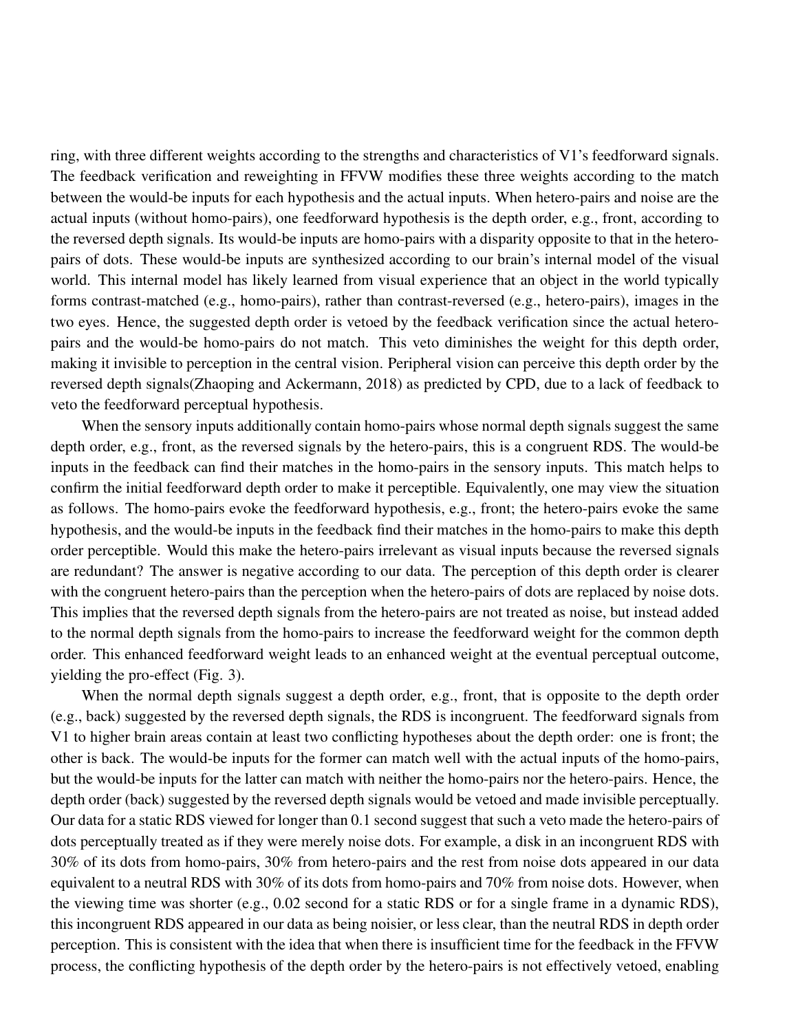ring, with three different weights according to the strengths and characteristics of V1's feedforward signals. The feedback verification and reweighting in FFVW modifies these three weights according to the match between the would-be inputs for each hypothesis and the actual inputs. When hetero-pairs and noise are the actual inputs (without homo-pairs), one feedforward hypothesis is the depth order, e.g., front, according to the reversed depth signals. Its would-be inputs are homo-pairs with a disparity opposite to that in the heteropairs of dots. These would-be inputs are synthesized according to our brain's internal model of the visual world. This internal model has likely learned from visual experience that an object in the world typically forms contrast-matched (e.g., homo-pairs), rather than contrast-reversed (e.g., hetero-pairs), images in the two eyes. Hence, the suggested depth order is vetoed by the feedback verification since the actual heteropairs and the would-be homo-pairs do not match. This veto diminishes the weight for this depth order, making it invisible to perception in the central vision. Peripheral vision can perceive this depth order by the reversed depth signals(Zhaoping and Ackermann, 2018) as predicted by CPD, due to a lack of feedback to veto the feedforward perceptual hypothesis.

When the sensory inputs additionally contain homo-pairs whose normal depth signals suggest the same depth order, e.g., front, as the reversed signals by the hetero-pairs, this is a congruent RDS. The would-be inputs in the feedback can find their matches in the homo-pairs in the sensory inputs. This match helps to confirm the initial feedforward depth order to make it perceptible. Equivalently, one may view the situation as follows. The homo-pairs evoke the feedforward hypothesis, e.g., front; the hetero-pairs evoke the same hypothesis, and the would-be inputs in the feedback find their matches in the homo-pairs to make this depth order perceptible. Would this make the hetero-pairs irrelevant as visual inputs because the reversed signals are redundant? The answer is negative according to our data. The perception of this depth order is clearer with the congruent hetero-pairs than the perception when the hetero-pairs of dots are replaced by noise dots. This implies that the reversed depth signals from the hetero-pairs are not treated as noise, but instead added to the normal depth signals from the homo-pairs to increase the feedforward weight for the common depth order. This enhanced feedforward weight leads to an enhanced weight at the eventual perceptual outcome, yielding the pro-effect (Fig. 3).

When the normal depth signals suggest a depth order, e.g., front, that is opposite to the depth order (e.g., back) suggested by the reversed depth signals, the RDS is incongruent. The feedforward signals from V1 to higher brain areas contain at least two conflicting hypotheses about the depth order: one is front; the other is back. The would-be inputs for the former can match well with the actual inputs of the homo-pairs, but the would-be inputs for the latter can match with neither the homo-pairs nor the hetero-pairs. Hence, the depth order (back) suggested by the reversed depth signals would be vetoed and made invisible perceptually. Our data for a static RDS viewed for longer than 0.1 second suggest that such a veto made the hetero-pairs of dots perceptually treated as if they were merely noise dots. For example, a disk in an incongruent RDS with 30% of its dots from homo-pairs, 30% from hetero-pairs and the rest from noise dots appeared in our data equivalent to a neutral RDS with 30% of its dots from homo-pairs and 70% from noise dots. However, when the viewing time was shorter (e.g., 0.02 second for a static RDS or for a single frame in a dynamic RDS), this incongruent RDS appeared in our data as being noisier, or less clear, than the neutral RDS in depth order perception. This is consistent with the idea that when there is insufficient time for the feedback in the FFVW process, the conflicting hypothesis of the depth order by the hetero-pairs is not effectively vetoed, enabling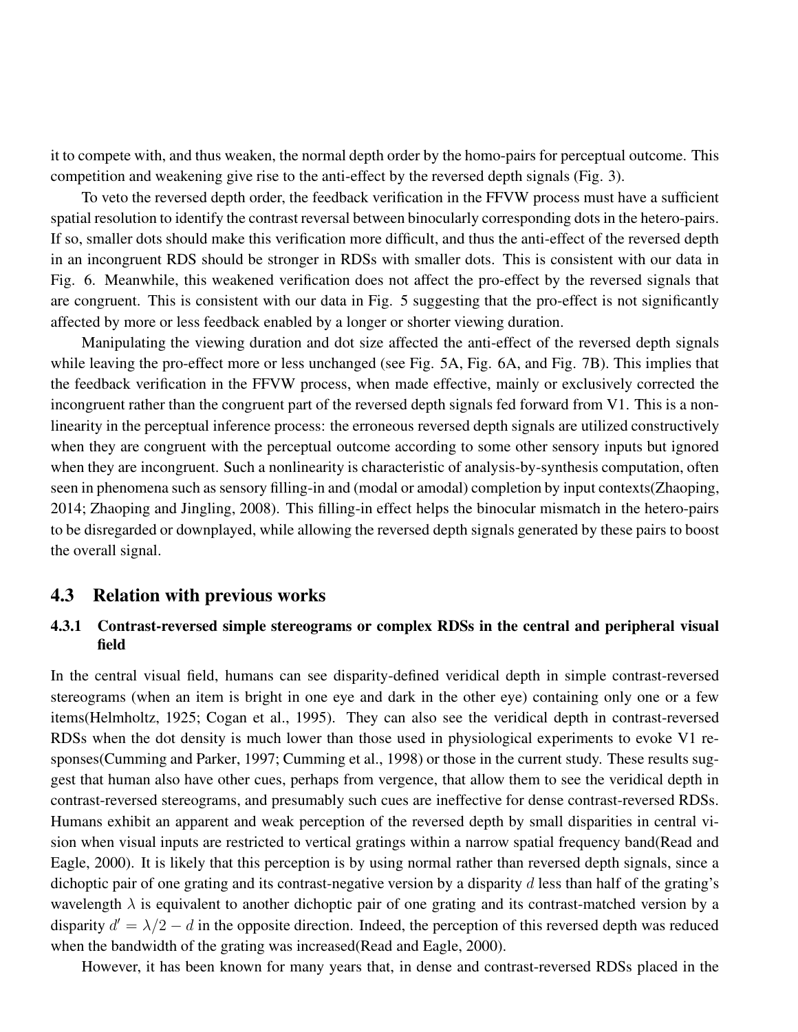it to compete with, and thus weaken, the normal depth order by the homo-pairs for perceptual outcome. This competition and weakening give rise to the anti-effect by the reversed depth signals (Fig. 3).

To veto the reversed depth order, the feedback verification in the FFVW process must have a sufficient spatial resolution to identify the contrast reversal between binocularly corresponding dots in the hetero-pairs. If so, smaller dots should make this verification more difficult, and thus the anti-effect of the reversed depth in an incongruent RDS should be stronger in RDSs with smaller dots. This is consistent with our data in Fig. 6. Meanwhile, this weakened verification does not affect the pro-effect by the reversed signals that are congruent. This is consistent with our data in Fig. 5 suggesting that the pro-effect is not significantly affected by more or less feedback enabled by a longer or shorter viewing duration.

Manipulating the viewing duration and dot size affected the anti-effect of the reversed depth signals while leaving the pro-effect more or less unchanged (see Fig. 5A, Fig. 6A, and Fig. 7B). This implies that the feedback verification in the FFVW process, when made effective, mainly or exclusively corrected the incongruent rather than the congruent part of the reversed depth signals fed forward from V1. This is a nonlinearity in the perceptual inference process: the erroneous reversed depth signals are utilized constructively when they are congruent with the perceptual outcome according to some other sensory inputs but ignored when they are incongruent. Such a nonlinearity is characteristic of analysis-by-synthesis computation, often seen in phenomena such as sensory filling-in and (modal or amodal) completion by input contexts(Zhaoping, 2014; Zhaoping and Jingling, 2008). This filling-in effect helps the binocular mismatch in the hetero-pairs to be disregarded or downplayed, while allowing the reversed depth signals generated by these pairs to boost the overall signal.

#### 4.3 Relation with previous works

### 4.3.1 Contrast-reversed simple stereograms or complex RDSs in the central and peripheral visual field

In the central visual field, humans can see disparity-defined veridical depth in simple contrast-reversed stereograms (when an item is bright in one eye and dark in the other eye) containing only one or a few items(Helmholtz, 1925; Cogan et al., 1995). They can also see the veridical depth in contrast-reversed RDSs when the dot density is much lower than those used in physiological experiments to evoke V1 responses(Cumming and Parker, 1997; Cumming et al., 1998) or those in the current study. These results suggest that human also have other cues, perhaps from vergence, that allow them to see the veridical depth in contrast-reversed stereograms, and presumably such cues are ineffective for dense contrast-reversed RDSs. Humans exhibit an apparent and weak perception of the reversed depth by small disparities in central vision when visual inputs are restricted to vertical gratings within a narrow spatial frequency band(Read and Eagle, 2000). It is likely that this perception is by using normal rather than reversed depth signals, since a dichoptic pair of one grating and its contrast-negative version by a disparity  $d$  less than half of the grating's wavelength  $\lambda$  is equivalent to another dichoptic pair of one grating and its contrast-matched version by a disparity  $d' = \lambda/2 - d$  in the opposite direction. Indeed, the perception of this reversed depth was reduced when the bandwidth of the grating was increased(Read and Eagle, 2000).

However, it has been known for many years that, in dense and contrast-reversed RDSs placed in the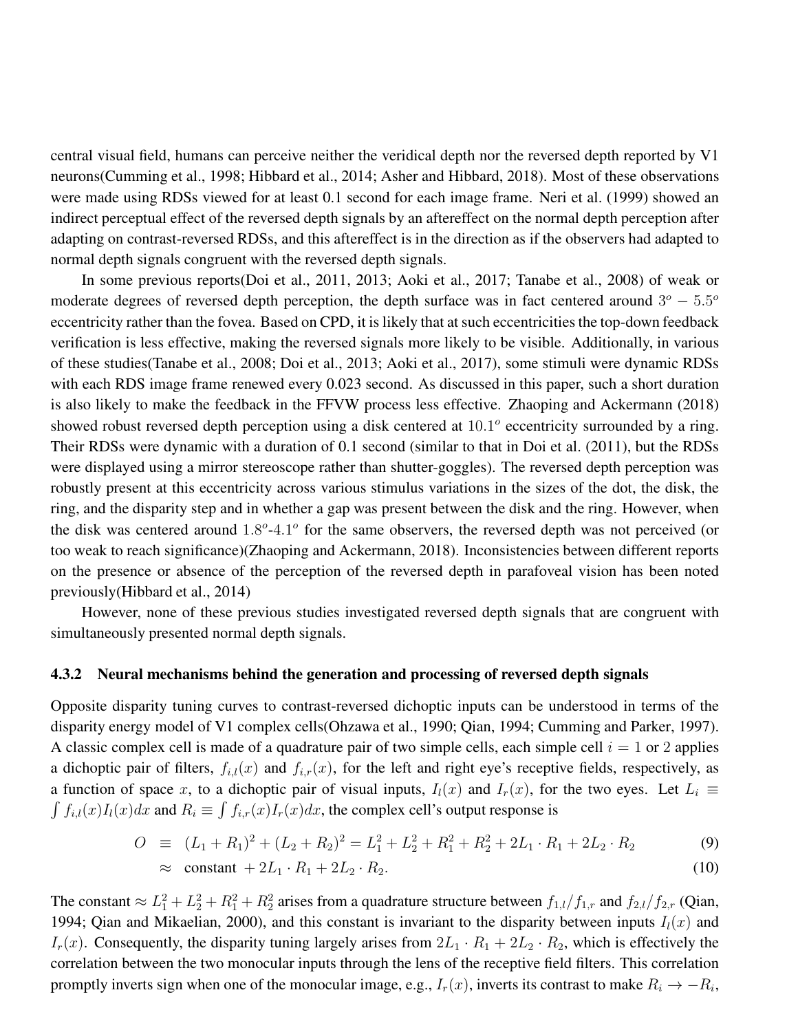central visual field, humans can perceive neither the veridical depth nor the reversed depth reported by V1 neurons(Cumming et al., 1998; Hibbard et al., 2014; Asher and Hibbard, 2018). Most of these observations were made using RDSs viewed for at least 0.1 second for each image frame. Neri et al. (1999) showed an indirect perceptual effect of the reversed depth signals by an aftereffect on the normal depth perception after adapting on contrast-reversed RDSs, and this aftereffect is in the direction as if the observers had adapted to normal depth signals congruent with the reversed depth signals.

In some previous reports(Doi et al., 2011, 2013; Aoki et al., 2017; Tanabe et al., 2008) of weak or moderate degrees of reversed depth perception, the depth surface was in fact centered around  $3^{\circ} - 5.5^{\circ}$ eccentricity rather than the fovea. Based on CPD, it is likely that at such eccentricities the top-down feedback verification is less effective, making the reversed signals more likely to be visible. Additionally, in various of these studies(Tanabe et al., 2008; Doi et al., 2013; Aoki et al., 2017), some stimuli were dynamic RDSs with each RDS image frame renewed every 0.023 second. As discussed in this paper, such a short duration is also likely to make the feedback in the FFVW process less effective. Zhaoping and Ackermann (2018) showed robust reversed depth perception using a disk centered at  $10.1^{\circ}$  eccentricity surrounded by a ring. Their RDSs were dynamic with a duration of 0.1 second (similar to that in Doi et al. (2011), but the RDSs were displayed using a mirror stereoscope rather than shutter-goggles). The reversed depth perception was robustly present at this eccentricity across various stimulus variations in the sizes of the dot, the disk, the ring, and the disparity step and in whether a gap was present between the disk and the ring. However, when the disk was centered around  $1.8^{\circ}$ -4.1° for the same observers, the reversed depth was not perceived (or too weak to reach significance)(Zhaoping and Ackermann, 2018). Inconsistencies between different reports on the presence or absence of the perception of the reversed depth in parafoveal vision has been noted previously(Hibbard et al., 2014)

However, none of these previous studies investigated reversed depth signals that are congruent with simultaneously presented normal depth signals.

#### 4.3.2 Neural mechanisms behind the generation and processing of reversed depth signals

Opposite disparity tuning curves to contrast-reversed dichoptic inputs can be understood in terms of the disparity energy model of V1 complex cells(Ohzawa et al., 1990; Qian, 1994; Cumming and Parker, 1997). A classic complex cell is made of a quadrature pair of two simple cells, each simple cell  $i = 1$  or 2 applies a dichoptic pair of filters,  $f_{i,l}(x)$  and  $f_{i,r}(x)$ , for the left and right eye's receptive fields, respectively, as a function of space x, to a dichoptic pair of visual inputs,  $I_l(x)$  and  $I_r(x)$ , for the two eyes. Let  $L_i \equiv$  $\int f_{i,l}(x)I_l(x)dx$  and  $R_i \equiv \int f_{i,r}(x)I_r(x)dx$ , the complex cell's output response is

$$
O \equiv (L_1 + R_1)^2 + (L_2 + R_2)^2 = L_1^2 + L_2^2 + R_1^2 + R_2^2 + 2L_1 \cdot R_1 + 2L_2 \cdot R_2 \tag{9}
$$

$$
\approx \text{ constant } + 2L_1 \cdot R_1 + 2L_2 \cdot R_2. \tag{10}
$$

The constant  $\approx L_1^2 + L_2^2 + R_1^2 + R_2^2$  arises from a quadrature structure between  $f_{1,l}/f_{1,r}$  and  $f_{2,l}/f_{2,r}$  (Qian, 1994; Qian and Mikaelian, 2000), and this constant is invariant to the disparity between inputs  $I_l(x)$  and  $I_r(x)$ . Consequently, the disparity tuning largely arises from  $2L_1 \cdot R_1 + 2L_2 \cdot R_2$ , which is effectively the correlation between the two monocular inputs through the lens of the receptive field filters. This correlation promptly inverts sign when one of the monocular image, e.g.,  $I_r(x)$ , inverts its contrast to make  $R_i \to -R_i$ ,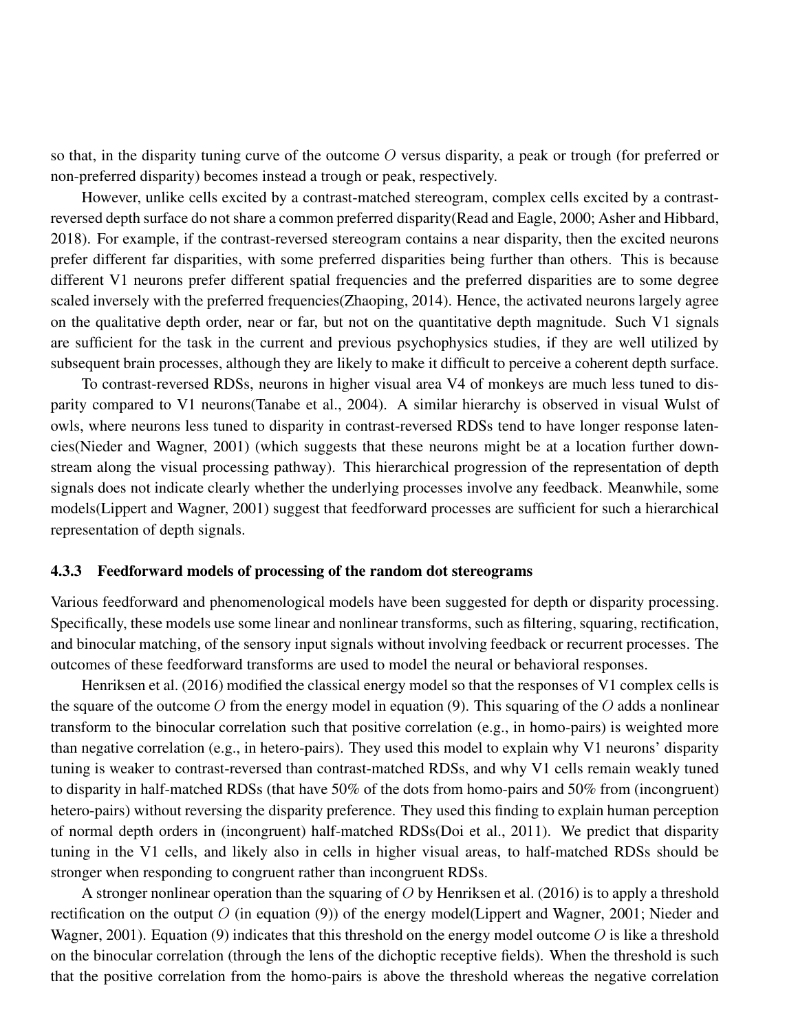so that, in the disparity tuning curve of the outcome  $O$  versus disparity, a peak or trough (for preferred or non-preferred disparity) becomes instead a trough or peak, respectively.

However, unlike cells excited by a contrast-matched stereogram, complex cells excited by a contrastreversed depth surface do not share a common preferred disparity(Read and Eagle, 2000; Asher and Hibbard, 2018). For example, if the contrast-reversed stereogram contains a near disparity, then the excited neurons prefer different far disparities, with some preferred disparities being further than others. This is because different V1 neurons prefer different spatial frequencies and the preferred disparities are to some degree scaled inversely with the preferred frequencies(Zhaoping, 2014). Hence, the activated neurons largely agree on the qualitative depth order, near or far, but not on the quantitative depth magnitude. Such V1 signals are sufficient for the task in the current and previous psychophysics studies, if they are well utilized by subsequent brain processes, although they are likely to make it difficult to perceive a coherent depth surface.

To contrast-reversed RDSs, neurons in higher visual area V4 of monkeys are much less tuned to disparity compared to V1 neurons(Tanabe et al., 2004). A similar hierarchy is observed in visual Wulst of owls, where neurons less tuned to disparity in contrast-reversed RDSs tend to have longer response latencies(Nieder and Wagner, 2001) (which suggests that these neurons might be at a location further downstream along the visual processing pathway). This hierarchical progression of the representation of depth signals does not indicate clearly whether the underlying processes involve any feedback. Meanwhile, some models(Lippert and Wagner, 2001) suggest that feedforward processes are sufficient for such a hierarchical representation of depth signals.

#### 4.3.3 Feedforward models of processing of the random dot stereograms

Various feedforward and phenomenological models have been suggested for depth or disparity processing. Specifically, these models use some linear and nonlinear transforms, such as filtering, squaring, rectification, and binocular matching, of the sensory input signals without involving feedback or recurrent processes. The outcomes of these feedforward transforms are used to model the neural or behavioral responses.

Henriksen et al. (2016) modified the classical energy model so that the responses of V1 complex cells is the square of the outcome O from the energy model in equation (9). This squaring of the O adds a nonlinear transform to the binocular correlation such that positive correlation (e.g., in homo-pairs) is weighted more than negative correlation (e.g., in hetero-pairs). They used this model to explain why V1 neurons' disparity tuning is weaker to contrast-reversed than contrast-matched RDSs, and why V1 cells remain weakly tuned to disparity in half-matched RDSs (that have 50% of the dots from homo-pairs and 50% from (incongruent) hetero-pairs) without reversing the disparity preference. They used this finding to explain human perception of normal depth orders in (incongruent) half-matched RDSs(Doi et al., 2011). We predict that disparity tuning in the V1 cells, and likely also in cells in higher visual areas, to half-matched RDSs should be stronger when responding to congruent rather than incongruent RDSs.

A stronger nonlinear operation than the squaring of  $O$  by Henriksen et al. (2016) is to apply a threshold rectification on the output  $O$  (in equation (9)) of the energy model(Lippert and Wagner, 2001; Nieder and Wagner, 2001). Equation (9) indicates that this threshold on the energy model outcome O is like a threshold on the binocular correlation (through the lens of the dichoptic receptive fields). When the threshold is such that the positive correlation from the homo-pairs is above the threshold whereas the negative correlation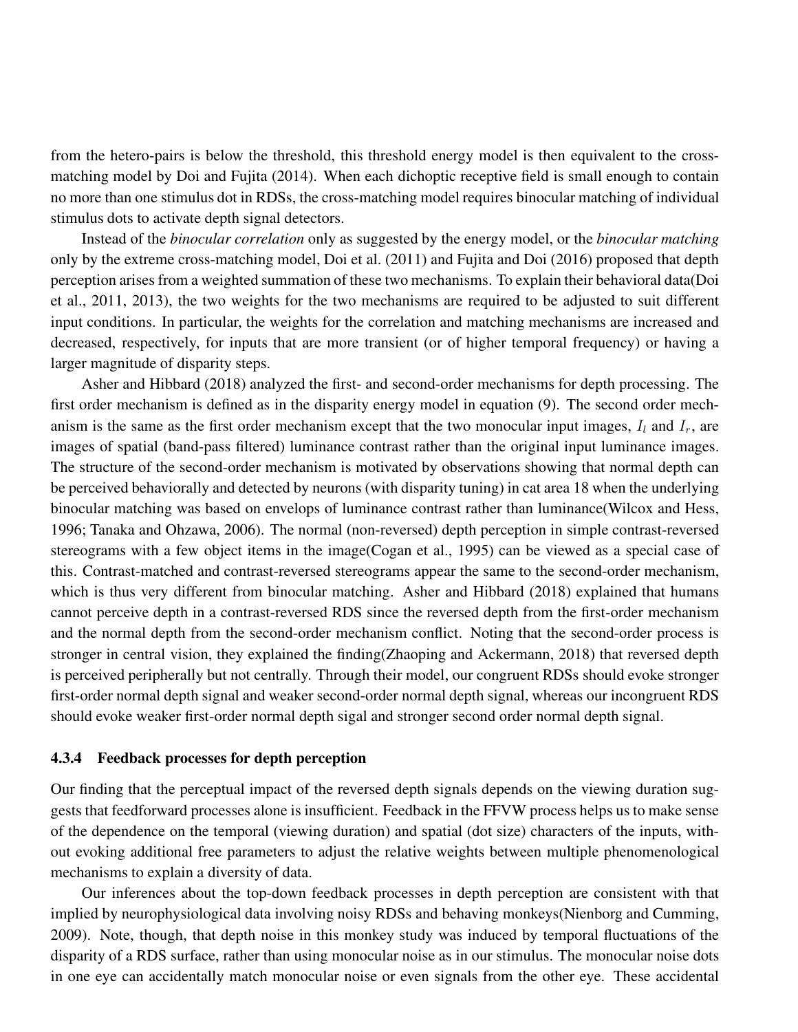from the hetero-pairs is below the threshold, this threshold energy model is then equivalent to the crossmatching model by Doi and Fujita (2014). When each dichoptic receptive field is small enough to contain no more than one stimulus dot in RDSs, the cross-matching model requires binocular matching of individual stimulus dots to activate depth signal detectors.

Instead of the *binocular correlation* only as suggested by the energy model, or the *binocular matching* only by the extreme cross-matching model, Doi et al. (2011) and Fujita and Doi (2016) proposed that depth perception arises from a weighted summation of these two mechanisms. To explain their behavioral data(Doi et al., 2011, 2013), the two weights for the two mechanisms are required to be adjusted to suit different input conditions. In particular, the weights for the correlation and matching mechanisms are increased and decreased, respectively, for inputs that are more transient (or of higher temporal frequency) or having a larger magnitude of disparity steps.

Asher and Hibbard (2018) analyzed the first- and second-order mechanisms for depth processing. The first order mechanism is defined as in the disparity energy model in equation (9). The second order mechanism is the same as the first order mechanism except that the two monocular input images,  $I_l$  and  $I_r$ , are images of spatial (band-pass filtered) luminance contrast rather than the original input luminance images. The structure of the second-order mechanism is motivated by observations showing that normal depth can be perceived behaviorally and detected by neurons (with disparity tuning) in cat area 18 when the underlying binocular matching was based on envelops of luminance contrast rather than luminance(Wilcox and Hess, 1996; Tanaka and Ohzawa, 2006). The normal (non-reversed) depth perception in simple contrast-reversed stereograms with a few object items in the image(Cogan et al., 1995) can be viewed as a special case of this. Contrast-matched and contrast-reversed stereograms appear the same to the second-order mechanism, which is thus very different from binocular matching. Asher and Hibbard (2018) explained that humans cannot perceive depth in a contrast-reversed RDS since the reversed depth from the first-order mechanism and the normal depth from the second-order mechanism conflict. Noting that the second-order process is stronger in central vision, they explained the finding(Zhaoping and Ackermann, 2018) that reversed depth is perceived peripherally but not centrally. Through their model, our congruent RDSs should evoke stronger first-order normal depth signal and weaker second-order normal depth signal, whereas our incongruent RDS should evoke weaker first-order normal depth sigal and stronger second order normal depth signal.

#### 4.3.4 Feedback processes for depth perception

Our finding that the perceptual impact of the reversed depth signals depends on the viewing duration suggests that feedforward processes alone is insufficient. Feedback in the FFVW process helps us to make sense of the dependence on the temporal (viewing duration) and spatial (dot size) characters of the inputs, without evoking additional free parameters to adjust the relative weights between multiple phenomenological mechanisms to explain a diversity of data.

Our inferences about the top-down feedback processes in depth perception are consistent with that implied by neurophysiological data involving noisy RDSs and behaving monkeys(Nienborg and Cumming, 2009). Note, though, that depth noise in this monkey study was induced by temporal fluctuations of the disparity of a RDS surface, rather than using monocular noise as in our stimulus. The monocular noise dots in one eye can accidentally match monocular noise or even signals from the other eye. These accidental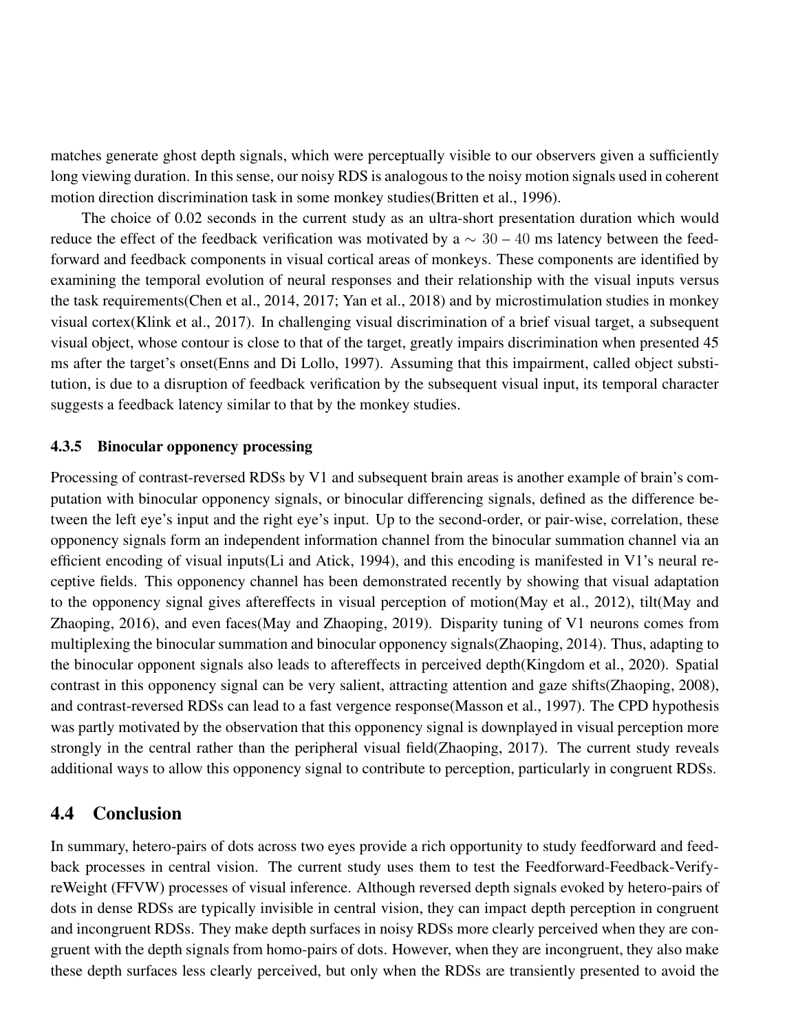matches generate ghost depth signals, which were perceptually visible to our observers given a sufficiently long viewing duration. In this sense, our noisy RDS is analogous to the noisy motion signals used in coherent motion direction discrimination task in some monkey studies(Britten et al., 1996).

The choice of 0.02 seconds in the current study as an ultra-short presentation duration which would reduce the effect of the feedback verification was motivated by a  $\sim$  30 – 40 ms latency between the feedforward and feedback components in visual cortical areas of monkeys. These components are identified by examining the temporal evolution of neural responses and their relationship with the visual inputs versus the task requirements(Chen et al., 2014, 2017; Yan et al., 2018) and by microstimulation studies in monkey visual cortex(Klink et al., 2017). In challenging visual discrimination of a brief visual target, a subsequent visual object, whose contour is close to that of the target, greatly impairs discrimination when presented 45 ms after the target's onset(Enns and Di Lollo, 1997). Assuming that this impairment, called object substitution, is due to a disruption of feedback verification by the subsequent visual input, its temporal character suggests a feedback latency similar to that by the monkey studies.

#### 4.3.5 Binocular opponency processing

Processing of contrast-reversed RDSs by V1 and subsequent brain areas is another example of brain's computation with binocular opponency signals, or binocular differencing signals, defined as the difference between the left eye's input and the right eye's input. Up to the second-order, or pair-wise, correlation, these opponency signals form an independent information channel from the binocular summation channel via an efficient encoding of visual inputs(Li and Atick, 1994), and this encoding is manifested in V1's neural receptive fields. This opponency channel has been demonstrated recently by showing that visual adaptation to the opponency signal gives aftereffects in visual perception of motion(May et al., 2012), tilt(May and Zhaoping, 2016), and even faces(May and Zhaoping, 2019). Disparity tuning of V1 neurons comes from multiplexing the binocular summation and binocular opponency signals(Zhaoping, 2014). Thus, adapting to the binocular opponent signals also leads to aftereffects in perceived depth(Kingdom et al., 2020). Spatial contrast in this opponency signal can be very salient, attracting attention and gaze shifts(Zhaoping, 2008), and contrast-reversed RDSs can lead to a fast vergence response(Masson et al., 1997). The CPD hypothesis was partly motivated by the observation that this opponency signal is downplayed in visual perception more strongly in the central rather than the peripheral visual field(Zhaoping, 2017). The current study reveals additional ways to allow this opponency signal to contribute to perception, particularly in congruent RDSs.

### 4.4 Conclusion

In summary, hetero-pairs of dots across two eyes provide a rich opportunity to study feedforward and feedback processes in central vision. The current study uses them to test the Feedforward-Feedback-VerifyreWeight (FFVW) processes of visual inference. Although reversed depth signals evoked by hetero-pairs of dots in dense RDSs are typically invisible in central vision, they can impact depth perception in congruent and incongruent RDSs. They make depth surfaces in noisy RDSs more clearly perceived when they are congruent with the depth signals from homo-pairs of dots. However, when they are incongruent, they also make these depth surfaces less clearly perceived, but only when the RDSs are transiently presented to avoid the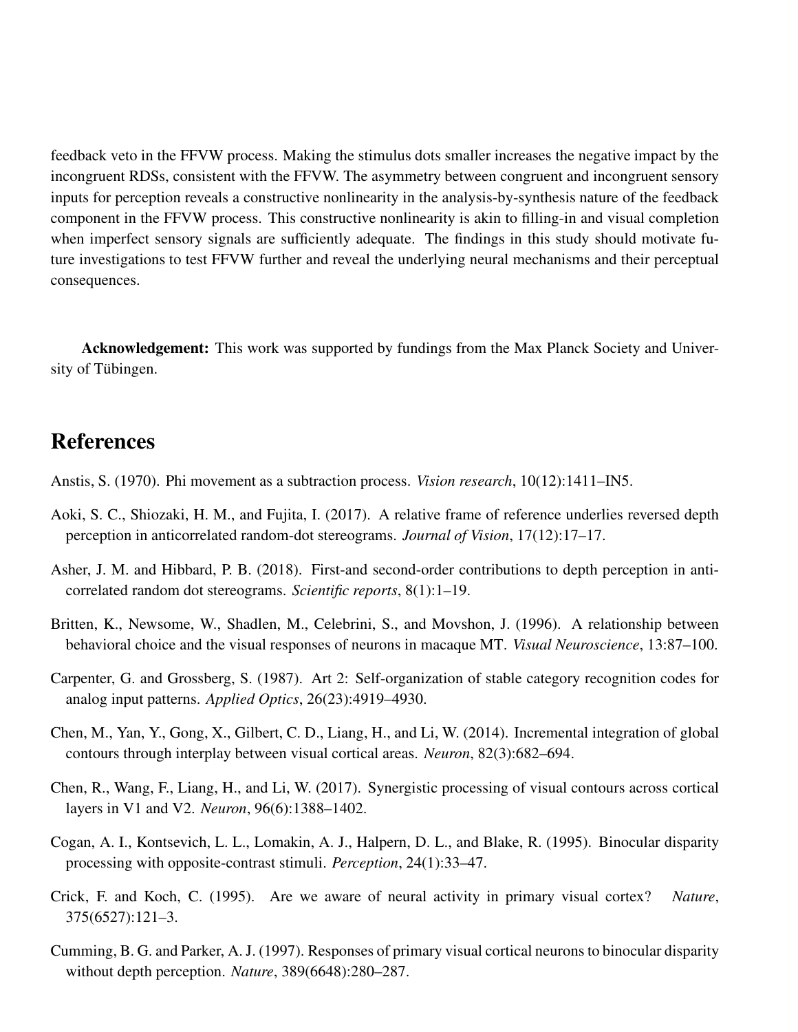feedback veto in the FFVW process. Making the stimulus dots smaller increases the negative impact by the incongruent RDSs, consistent with the FFVW. The asymmetry between congruent and incongruent sensory inputs for perception reveals a constructive nonlinearity in the analysis-by-synthesis nature of the feedback component in the FFVW process. This constructive nonlinearity is akin to filling-in and visual completion when imperfect sensory signals are sufficiently adequate. The findings in this study should motivate future investigations to test FFVW further and reveal the underlying neural mechanisms and their perceptual consequences.

Acknowledgement: This work was supported by fundings from the Max Planck Society and University of Tübingen.

# References

- Anstis, S. (1970). Phi movement as a subtraction process. *Vision research*, 10(12):1411–IN5.
- Aoki, S. C., Shiozaki, H. M., and Fujita, I. (2017). A relative frame of reference underlies reversed depth perception in anticorrelated random-dot stereograms. *Journal of Vision*, 17(12):17–17.
- Asher, J. M. and Hibbard, P. B. (2018). First-and second-order contributions to depth perception in anticorrelated random dot stereograms. *Scientific reports*, 8(1):1–19.
- Britten, K., Newsome, W., Shadlen, M., Celebrini, S., and Movshon, J. (1996). A relationship between behavioral choice and the visual responses of neurons in macaque MT. *Visual Neuroscience*, 13:87–100.
- Carpenter, G. and Grossberg, S. (1987). Art 2: Self-organization of stable category recognition codes for analog input patterns. *Applied Optics*, 26(23):4919–4930.
- Chen, M., Yan, Y., Gong, X., Gilbert, C. D., Liang, H., and Li, W. (2014). Incremental integration of global contours through interplay between visual cortical areas. *Neuron*, 82(3):682–694.
- Chen, R., Wang, F., Liang, H., and Li, W. (2017). Synergistic processing of visual contours across cortical layers in V1 and V2. *Neuron*, 96(6):1388–1402.
- Cogan, A. I., Kontsevich, L. L., Lomakin, A. J., Halpern, D. L., and Blake, R. (1995). Binocular disparity processing with opposite-contrast stimuli. *Perception*, 24(1):33–47.
- Crick, F. and Koch, C. (1995). Are we aware of neural activity in primary visual cortex? *Nature*, 375(6527):121–3.
- Cumming, B. G. and Parker, A. J. (1997). Responses of primary visual cortical neurons to binocular disparity without depth perception. *Nature*, 389(6648):280–287.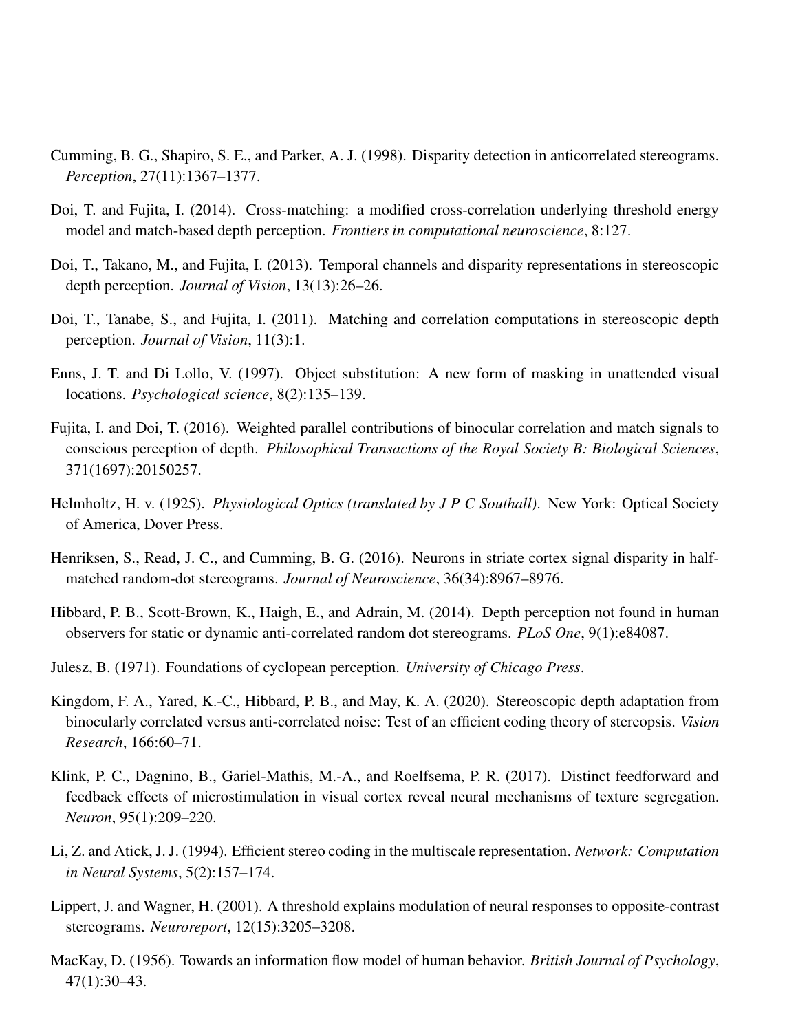- Cumming, B. G., Shapiro, S. E., and Parker, A. J. (1998). Disparity detection in anticorrelated stereograms. *Perception*, 27(11):1367–1377.
- Doi, T. and Fujita, I. (2014). Cross-matching: a modified cross-correlation underlying threshold energy model and match-based depth perception. *Frontiers in computational neuroscience*, 8:127.
- Doi, T., Takano, M., and Fujita, I. (2013). Temporal channels and disparity representations in stereoscopic depth perception. *Journal of Vision*, 13(13):26–26.
- Doi, T., Tanabe, S., and Fujita, I. (2011). Matching and correlation computations in stereoscopic depth perception. *Journal of Vision*, 11(3):1.
- Enns, J. T. and Di Lollo, V. (1997). Object substitution: A new form of masking in unattended visual locations. *Psychological science*, 8(2):135–139.
- Fujita, I. and Doi, T. (2016). Weighted parallel contributions of binocular correlation and match signals to conscious perception of depth. *Philosophical Transactions of the Royal Society B: Biological Sciences*, 371(1697):20150257.
- Helmholtz, H. v. (1925). *Physiological Optics (translated by J P C Southall)*. New York: Optical Society of America, Dover Press.
- Henriksen, S., Read, J. C., and Cumming, B. G. (2016). Neurons in striate cortex signal disparity in halfmatched random-dot stereograms. *Journal of Neuroscience*, 36(34):8967–8976.
- Hibbard, P. B., Scott-Brown, K., Haigh, E., and Adrain, M. (2014). Depth perception not found in human observers for static or dynamic anti-correlated random dot stereograms. *PLoS One*, 9(1):e84087.
- Julesz, B. (1971). Foundations of cyclopean perception. *University of Chicago Press*.
- Kingdom, F. A., Yared, K.-C., Hibbard, P. B., and May, K. A. (2020). Stereoscopic depth adaptation from binocularly correlated versus anti-correlated noise: Test of an efficient coding theory of stereopsis. *Vision Research*, 166:60–71.
- Klink, P. C., Dagnino, B., Gariel-Mathis, M.-A., and Roelfsema, P. R. (2017). Distinct feedforward and feedback effects of microstimulation in visual cortex reveal neural mechanisms of texture segregation. *Neuron*, 95(1):209–220.
- Li, Z. and Atick, J. J. (1994). Efficient stereo coding in the multiscale representation. *Network: Computation in Neural Systems*, 5(2):157–174.
- Lippert, J. and Wagner, H. (2001). A threshold explains modulation of neural responses to opposite-contrast stereograms. *Neuroreport*, 12(15):3205–3208.
- MacKay, D. (1956). Towards an information flow model of human behavior. *British Journal of Psychology*, 47(1):30–43.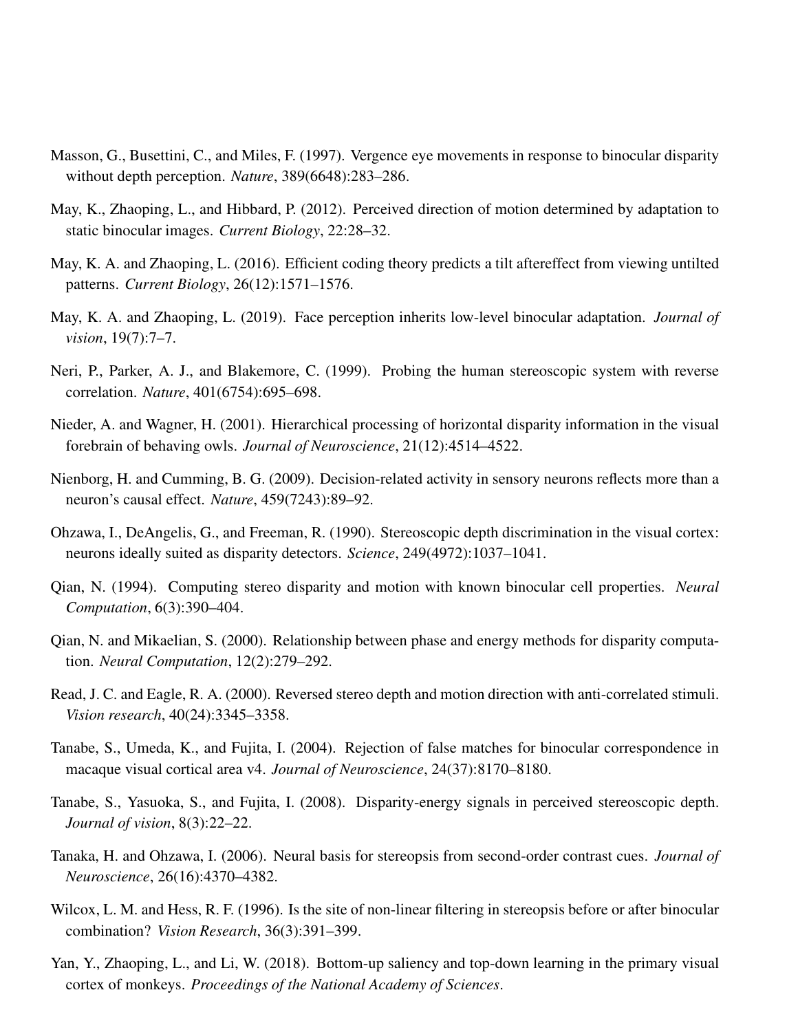- Masson, G., Busettini, C., and Miles, F. (1997). Vergence eye movements in response to binocular disparity without depth perception. *Nature*, 389(6648):283–286.
- May, K., Zhaoping, L., and Hibbard, P. (2012). Perceived direction of motion determined by adaptation to static binocular images. *Current Biology*, 22:28–32.
- May, K. A. and Zhaoping, L. (2016). Efficient coding theory predicts a tilt aftereffect from viewing untilted patterns. *Current Biology*, 26(12):1571–1576.
- May, K. A. and Zhaoping, L. (2019). Face perception inherits low-level binocular adaptation. *Journal of vision*, 19(7):7–7.
- Neri, P., Parker, A. J., and Blakemore, C. (1999). Probing the human stereoscopic system with reverse correlation. *Nature*, 401(6754):695–698.
- Nieder, A. and Wagner, H. (2001). Hierarchical processing of horizontal disparity information in the visual forebrain of behaving owls. *Journal of Neuroscience*, 21(12):4514–4522.
- Nienborg, H. and Cumming, B. G. (2009). Decision-related activity in sensory neurons reflects more than a neuron's causal effect. *Nature*, 459(7243):89–92.
- Ohzawa, I., DeAngelis, G., and Freeman, R. (1990). Stereoscopic depth discrimination in the visual cortex: neurons ideally suited as disparity detectors. *Science*, 249(4972):1037–1041.
- Qian, N. (1994). Computing stereo disparity and motion with known binocular cell properties. *Neural Computation*, 6(3):390–404.
- Qian, N. and Mikaelian, S. (2000). Relationship between phase and energy methods for disparity computation. *Neural Computation*, 12(2):279–292.
- Read, J. C. and Eagle, R. A. (2000). Reversed stereo depth and motion direction with anti-correlated stimuli. *Vision research*, 40(24):3345–3358.
- Tanabe, S., Umeda, K., and Fujita, I. (2004). Rejection of false matches for binocular correspondence in macaque visual cortical area v4. *Journal of Neuroscience*, 24(37):8170–8180.
- Tanabe, S., Yasuoka, S., and Fujita, I. (2008). Disparity-energy signals in perceived stereoscopic depth. *Journal of vision*, 8(3):22–22.
- Tanaka, H. and Ohzawa, I. (2006). Neural basis for stereopsis from second-order contrast cues. *Journal of Neuroscience*, 26(16):4370–4382.
- Wilcox, L. M. and Hess, R. F. (1996). Is the site of non-linear filtering in stereopsis before or after binocular combination? *Vision Research*, 36(3):391–399.
- Yan, Y., Zhaoping, L., and Li, W. (2018). Bottom-up saliency and top-down learning in the primary visual cortex of monkeys. *Proceedings of the National Academy of Sciences*.